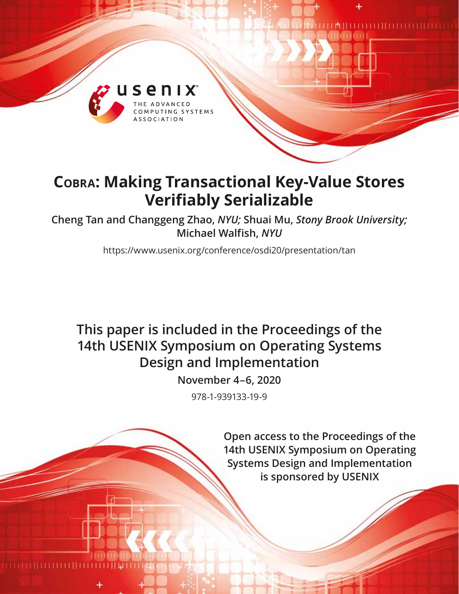

# **Cobra: Making Transactional Key-Value Stores Verifiably Serializable**

**Cheng Tan and Changgeng Zhao,** *NYU;* **Shuai Mu,** *Stony Brook University;* **Michael Walfish,** *NYU*

https://www.usenix.org/conference/osdi20/presentation/tan

## **This paper is included in the Proceedings of the 14th USENIX Symposium on Operating Systems Design and Implementation**

**November 4–6, 2020**

978-1-939133-19-9

**Open access to the Proceedings of the 14th USENIX Symposium on Operating Systems Design and Implementation is sponsored by USENIX**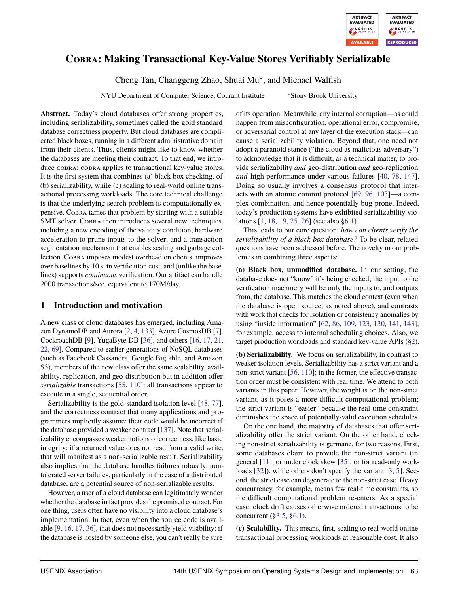

## **Cobra: Making Transactional Key-Value Stores Verifiably Serializable**

Cheng Tan, Changgeng Zhao, Shuai Mu? , and Michael Walfish

NYU Department of Computer Science, Courant Institute \* Stony Brook University

**Abstract.** Today's cloud databases offer strong properties, including serializability, sometimes called the gold standard database correctness property. But cloud databases are complicated black boxes, running in a different administrative domain from their clients. Thus, clients might like to know whether the databases are meeting their contract. To that end, we introduce cobra; cobra applies to transactional key-value stores. It is the first system that combines (a) black-box checking, of (b) serializability, while (c) scaling to real-world online transactional processing workloads. The core technical challenge is that the underlying search problem is computationally expensive. Cobra tames that problem by starting with a suitable SMT solver. COBRA then introduces several new techniques, including a new encoding of the validity condition; hardware acceleration to prune inputs to the solver; and a transaction segmentation mechanism that enables scaling and garbage collection. Cobra imposes modest overhead on clients, improves over baselines by  $10\times$  in verification cost, and (unlike the baselines) supports *continuous* verification. Our artifact can handle 2000 transactions/sec, equivalent to 170M/day.

## <span id="page-1-0"></span>**1 Introduction and motivation**

A new class of cloud databases has emerged, including Amazon DynamoDB and Aurora [\[2,](#page-15-0) [4,](#page-15-1) [133\]](#page-18-0), Azure CosmosDB [\[7\]](#page-15-2), CockroachDB [\[9\]](#page-15-3), YugaByte DB [\[36\]](#page-15-4), and others [\[16,](#page-15-5) [17,](#page-15-6) [21,](#page-15-7) [22,](#page-15-8) [69\]](#page-16-0). Compared to earlier generations of NoSQL databases (such as Facebook Cassandra, Google Bigtable, and Amazon S3), members of the new class offer the same scalability, availability, replication, and geo-distribution but in addition offer *serializable* transactions [\[55,](#page-16-1) [110\]](#page-17-0): all transactions appear to execute in a single, sequential order.

Serializability is the gold-standard isolation level [\[48,](#page-16-2) [77\]](#page-16-3), and the correctness contract that many applications and programmers implicitly assume: their code would be incorrect if the database provided a weaker contract [\[137\]](#page-18-1). Note that serializability encompasses weaker notions of correctness, like basic integrity: if a returned value does not read from a valid write, that will manifest as a non-serializable result. Serializability also implies that the database handles failures robustly: nontolerated server failures, particularly in the case of a distributed database, are a potential source of non-serializable results.

However, a user of a cloud database can legitimately wonder whether the database in fact provides the promised contract. For one thing, users often have no visibility into a cloud database's implementation. In fact, even when the source code is available [\[9,](#page-15-3) [16,](#page-15-5) [17,](#page-15-6) [36\]](#page-15-4), that does not necessarily yield visibility: if the database is hosted by someone else, you can't really be sure of its operation. Meanwhile, any internal corruption—as could happen from misconfiguration, operational error, compromise, or adversarial control at any layer of the execution stack—can cause a serializability violation. Beyond that, one need not adopt a paranoid stance ("the cloud as malicious adversary") to acknowledge that it is difficult, as a technical matter, to provide serializability *and* geo-distribution *and* geo-replication *and* high performance under various failures [\[40,](#page-15-9) [78,](#page-16-4) [147\]](#page-18-2). Doing so usually involves a consensus protocol that interacts with an atomic commit protocol [\[69,](#page-16-0) [96,](#page-17-1) [103\]](#page-17-2)—a complex combination, and hence potentially bug-prone. Indeed, today's production systems have exhibited serializability violations [\[1,](#page-15-10) [18,](#page-15-11) [19,](#page-15-12) [25,](#page-15-13) [26\]](#page-15-14) (see also [§6.1\)](#page-10-0).

This leads to our core question: *how can clients verify the serializability of a black-box database?* To be clear, related questions have been addressed before. The novelty in our problem is in combining three aspects:

**(a) Black box, unmodified database.** In our setting, the database does not "know" it's being checked; the input to the verification machinery will be only the inputs to, and outputs from, the database. This matches the cloud context (even when the database is open source, as noted above), and contrasts with work that checks for isolation or consistency anomalies by using "inside information" [\[62,](#page-16-5) [86,](#page-16-6) [109,](#page-17-3) [123,](#page-17-4) [130,](#page-18-3) [141,](#page-18-4) [143\]](#page-18-5), for example, access to internal scheduling choices. Also, we target production workloads and standard key-value APIs ([§2\)](#page-3-0).

**(b) Serializability.** We focus on serializability, in contrast to weaker isolation levels. Serializability has a strict variant and a non-strict variant [\[56,](#page-16-7) [110\]](#page-17-0); in the former, the effective transaction order must be consistent with real time. We attend to both variants in this paper. However, the weight is on the non-strict variant, as it poses a more difficult computational problem; the strict variant is "easier" because the real-time constraint diminishes the space of potentially-valid execution schedules.

On the one hand, the majority of databases that offer serializability offer the strict variant. On the other hand, checking non-strict serializability is germane, for two reasons. First, some databases claim to provide the non-strict variant (in general [\[11\]](#page-15-15), or under clock skew [\[35\]](#page-15-16), or for read-only workloads [\[32\]](#page-15-17)), while others don't specify the variant [\[3,](#page-15-18) [5\]](#page-15-19). Second, the strict case can degenerate to the non-strict case. Heavy concurrency, for example, means few real-time constraints, so the difficult computational problem re-enters. As a special case, clock drift causes otherwise ordered transactions to be concurrent ([§3.5,](#page-7-0) [§6.1\)](#page-11-0).

**(c) Scalability.** This means, first, scaling to real-world online transactional processing workloads at reasonable cost. It also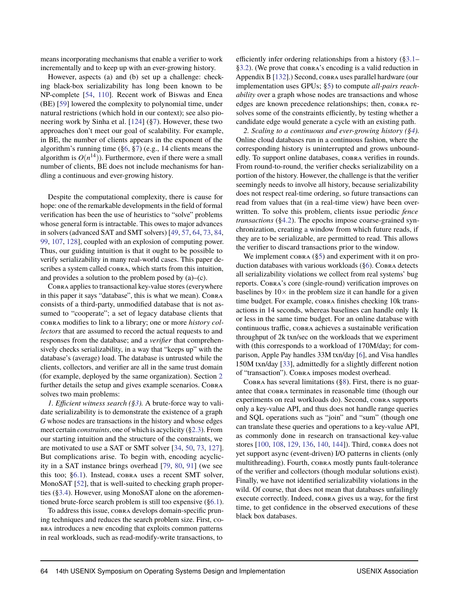means incorporating mechanisms that enable a verifier to work incrementally and to keep up with an ever-growing history.

However, aspects (a) and (b) set up a challenge: checking black-box serializability has long been known to be NP-complete [\[54,](#page-16-8) [110\]](#page-17-0). Recent work of Biswas and Enea (BE) [\[59\]](#page-16-9) lowered the complexity to polynomial time, under natural restrictions (which hold in our context); see also pioneering work by Sinha et al. [\[124\]](#page-17-5) ([§7\)](#page-13-0). However, these two approaches don't meet our goal of scalability. For example, in BE, the number of clients appears in the exponent of the algorithm's running time ([§6,](#page-9-0) [§7\)](#page-13-0) (e.g., 14 clients means the algorithm is  $O(n^{14})$ ). Furthermore, even if there were a small number of clients, BE does not include mechanisms for handling a continuous and ever-growing history.

Despite the computational complexity, there is cause for hope: one of the remarkable developments in the field of formal verification has been the use of heuristics to "solve" problems whose general form is intractable. This owes to major advances in solvers (advanced SAT and SMT solvers) [\[49,](#page-16-10) [57,](#page-16-11) [64,](#page-16-12) [73,](#page-16-13) [84,](#page-16-14) [99,](#page-17-6) [107,](#page-17-7) [128\]](#page-18-6), coupled with an explosion of computing power. Thus, our guiding intuition is that it ought to be possible to verify serializability in many real-world cases. This paper describes a system called cobra, which starts from this intuition, and provides a solution to the problem posed by  $(a)$ – $(c)$ .

Cobra applies to transactional key-value stores (everywhere in this paper it says "database", this is what we mean). COBRA consists of a third-party, unmodified database that is not assumed to "cooperate"; a set of legacy database clients that cobra modifies to link to a library; one or more *history collectors* that are assumed to record the actual requests to and responses from the database; and a *verifier* that comprehensively checks serializability, in a way that "keeps up" with the database's (average) load. The database is untrusted while the clients, collectors, and verifier are all in the same trust domain (for example, deployed by the same organization). Section [2](#page-3-0) further details the setup and gives example scenarios. COBRA solves two main problems:

*1. Efficient witness search ([§3\)](#page-4-0).* A brute-force way to validate serializability is to demonstrate the existence of a graph *G* whose nodes are transactions in the history and whose edges meet certain *constraints*, one of which is acyclicity ([§2.3\)](#page-4-1). From our starting intuition and the structure of the constraints, we are motivated to use a SAT or SMT solver [\[34,](#page-15-20) [50,](#page-16-15) [73,](#page-16-13) [127\]](#page-17-8). But complications arise. To begin with, encoding acyclicity in a SAT instance brings overhead [\[79,](#page-16-16) [80,](#page-16-17) [91\]](#page-17-9) (we see this too; [§6.1\)](#page-10-1). Instead, cobra uses a recent SMT solver, MonoSAT [\[52\]](#page-16-18), that is well-suited to checking graph properties ([§3.4\)](#page-6-0). However, using MonoSAT alone on the aforementioned brute-force search problem is still too expensive ([§6.1\)](#page-10-1).

To address this issue, cobra develops domain-specific pruning techniques and reduces the search problem size. First, cobra introduces a new encoding that exploits common patterns in real workloads, such as read-modify-write transactions, to

efficiently infer ordering relationships from a history ([§3.1–](#page-5-0) [§3.2\)](#page-6-1). (We prove that cobra's encoding is a valid reduction in Appendix B [\[132\]](#page-18-7).) Second, cobra uses parallel hardware (our implementation uses GPUs; [§5\)](#page-9-1) to compute *all-pairs reachability* over a graph whose nodes are transactions and whose edges are known precedence relationships; then, COBRA resolves some of the constraints efficiently, by testing whether a candidate edge would generate a cycle with an existing path.

*2. Scaling to a continuous and ever-growing history ([§4\)](#page-7-1).* Online cloud databases run in a continuous fashion, where the corresponding history is uninterrupted and grows unboundedly. To support online databases, COBRA verifies in rounds. From round-to-round, the verifier checks serializability on a portion of the history. However, the challenge is that the verifier seemingly needs to involve all history, because serializability does not respect real-time ordering, so future transactions can read from values that (in a real-time view) have been overwritten. To solve this problem, clients issue periodic *fence transactions* ([§4.2\)](#page-7-2). The epochs impose coarse-grained synchronization, creating a window from which future reads, if they are to be serializable, are permitted to read. This allows the verifier to discard transactions prior to the window.

We implement  $\cos R$  ([§5\)](#page-9-1) and experiment with it on production databases with various workloads  $(\S6)$ . Cobra detects all serializability violations we collect from real systems' bug reports. Cobra's core (single-round) verification improves on baselines by  $10\times$  in the problem size it can handle for a given time budget. For example, cobra finishes checking 10k transactions in 14 seconds, whereas baselines can handle only 1k or less in the same time budget. For an online database with continuous traffic, cobra achieves a sustainable verification throughput of 2k txn/sec on the workloads that we experiment with (this corresponds to a workload of 170M/day; for comparison, Apple Pay handles 33M txn/day [\[6\]](#page-15-21), and Visa handles 150M txn/day [\[33\]](#page-15-22), admittedly for a slightly different notion of "transaction"). Cobra imposes modest overhead.

COBRA has several limitations  $(\S 8)$ . First, there is no guarantee that cobra terminates in reasonable time (though our experiments on real workloads do). Second, cobra supports only a key-value API, and thus does not handle range queries and SQL operations such as "join" and "sum" (though one can translate these queries and operations to a key-value API, as commonly done in research on transactional key-value stores [\[100,](#page-17-10) [108,](#page-17-11) [129,](#page-18-8) [136,](#page-18-9) [140,](#page-18-10) [144\]](#page-18-11)). Third, cobra does not yet support async (event-driven) I/O patterns in clients (only multithreading). Fourth, cobra mostly punts fault-tolerance of the verifier and collectors (though modular solutions exist). Finally, we have not identified serializability violations in the wild. Of course, that does not mean that databases unfailingly execute correctly. Indeed, cobra gives us a way, for the first time, to get confidence in the observed executions of these black box databases.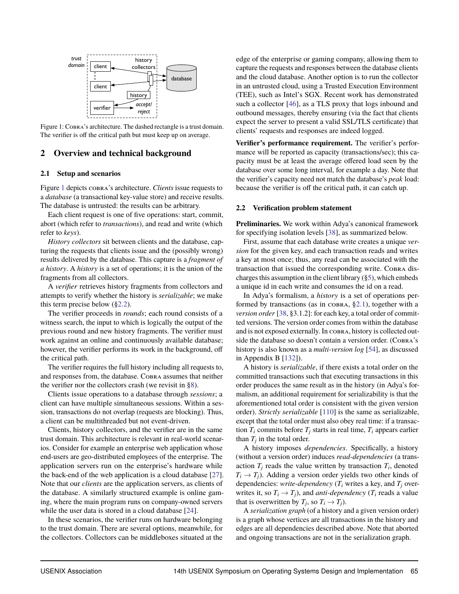<span id="page-3-1"></span>

Figure 1: Cobra's architecture. The dashed rectangle is a trust domain. The verifier is off the critical path but must keep up on average.

### <span id="page-3-0"></span>**2 Overview and technical background**

#### <span id="page-3-3"></span>**2.1 Setup and scenarios**

Figure [1](#page-3-1) depicts cobra's architecture. *Clients* issue requests to a *database* (a transactional key-value store) and receive results. The database is untrusted: the results can be arbitrary.

Each client request is one of five operations: start, commit, abort (which refer to *transactions*), and read and write (which refer to *keys*).

*History collectors* sit between clients and the database, capturing the requests that clients issue and the (possibly wrong) results delivered by the database. This capture is a *fragment of a history*. A *history* is a set of operations; it is the union of the fragments from all collectors.

A *verifier* retrieves history fragments from collectors and attempts to verify whether the history is *serializable*; we make this term precise below  $(\S2.2)$ .

The verifier proceeds in *rounds*; each round consists of a witness search, the input to which is logically the output of the previous round and new history fragments. The verifier must work against an online and continuously available database; however, the verifier performs its work in the background, off the critical path.

The verifier requires the full history including all requests to, and responses from, the database. Cobra assumes that neither the verifier nor the collectors crash (we revisit in [§8\)](#page-14-0).

Clients issue operations to a database through *sessions*; a client can have multiple simultaneous sessions. Within a session, transactions do not overlap (requests are blocking). Thus, a client can be multithreaded but not event-driven.

Clients, history collectors, and the verifier are in the same trust domain. This architecture is relevant in real-world scenarios. Consider for example an enterprise web application whose end-users are geo-distributed employees of the enterprise. The application servers run on the enterprise's hardware while the back-end of the web application is a cloud database [\[27\]](#page-15-23). Note that our *clients* are the application servers, as clients of the database. A similarly structured example is online gaming, where the main program runs on company-owned servers while the user data is stored in a cloud database [\[24\]](#page-15-24).

In these scenarios, the verifier runs on hardware belonging to the trust domain. There are several options, meanwhile, for the collectors. Collectors can be middleboxes situated at the edge of the enterprise or gaming company, allowing them to capture the requests and responses between the database clients and the cloud database. Another option is to run the collector in an untrusted cloud, using a Trusted Execution Environment (TEE), such as Intel's SGX. Recent work has demonstrated such a collector [\[46\]](#page-16-19), as a TLS proxy that logs inbound and outbound messages, thereby ensuring (via the fact that clients expect the server to present a valid SSL/TLS certificate) that clients' requests and responses are indeed logged.

**Verifier's performance requirement.** The verifier's performance will be reported as capacity (transactions/sec); this capacity must be at least the average offered load seen by the database over some long interval, for example a day. Note that the verifier's capacity need not match the database's *peak* load: because the verifier is off the critical path, it can catch up.

#### <span id="page-3-2"></span>**2.2 Verification problem statement**

**Preliminaries.** We work within Adya's canonical framework for specifying isolation levels [\[38\]](#page-15-25), as summarized below.

First, assume that each database write creates a unique *version* for the given key, and each transaction reads and writes a key at most once; thus, any read can be associated with the transaction that issued the corresponding write. Cobra discharges this assumption in the client library  $(\S 5)$ , which embeds a unique id in each write and consumes the id on a read.

In Adya's formalism, a *history* is a set of operations performed by transactions (as in  $\cos R_A$ , [§2.1\)](#page-3-3), together with a *version order* [\[38,](#page-15-25) §3.1.2]: for each key, a total order of committed versions. The version order comes from within the database and is not exposed externally. In cobra, history is collected outside the database so doesn't contain a version order. (COBRA's history is also known as a *multi-version log* [\[54\]](#page-16-8), as discussed in Appendix B [\[132\]](#page-18-7)).

A history is *serializable*, if there exists a total order on the committed transactions such that executing transactions in this order produces the same result as in the history (in Adya's formalism, an additional requirement for serializability is that the aforementioned total order is consistent with the given version order). *Strictly serializable* [\[110\]](#page-17-0) is the same as serializable, except that the total order must also obey real time: if a transaction  $T_i$  commits before  $T_j$  starts in real time,  $T_i$  appears earlier than  $T_j$  in the total order.

A history imposes *dependencies*. Specifically, a history (without a version order) induces *read-dependencies* (a transaction  $T_j$  reads the value written by transaction  $T_i$ , denoted  $T_i \rightarrow T_i$ ). Adding a version order yields two other kinds of dependencies: *write-dependency* ( $T_i$  writes a key, and  $T_i$  overwrites it, so  $T_i \rightarrow T_j$ ), and *anti-dependency* ( $T_i$  reads a value that is overwritten by  $T_j$ , so  $T_i \to T_j$ ).

A *serialization graph* (of a history and a given version order) is a graph whose vertices are all transactions in the history and edges are all dependencies described above. Note that aborted and ongoing transactions are not in the serialization graph.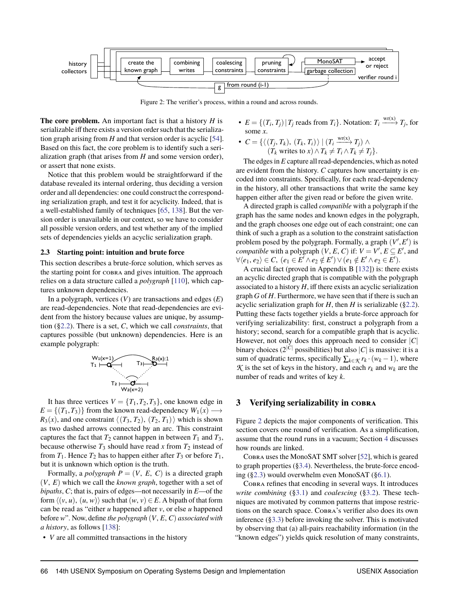<span id="page-4-2"></span>

Figure 2: The verifier's process, within a round and across rounds.

**The core problem.** An important fact is that a history *H* is serializable iff there exists a version order such that the serialization graph arising from *H* and that version order is acyclic [\[54\]](#page-16-8). Based on this fact, the core problem is to identify such a serialization graph (that arises from *H* and some version order), or assert that none exists.

Notice that this problem would be straightforward if the database revealed its internal ordering, thus deciding a version order and all dependencies: one could construct the corresponding serialization graph, and test it for acyclicity. Indeed, that is a well-established family of techniques [\[65,](#page-16-20) [138\]](#page-18-12). But the version order is unavailable in our context, so we have to consider all possible version orders, and test whether any of the implied sets of dependencies yields an acyclic serialization graph.

#### <span id="page-4-1"></span>**2.3 Starting point: intuition and brute force**

This section describes a brute-force solution, which serves as the starting point for cobra and gives intuition. The approach relies on a data structure called a *polygraph* [\[110\]](#page-17-0), which captures unknown dependencies.

In a polygraph, vertices (*V*) are transactions and edges (*E*) are read-dependencies. Note that read-dependencies are evident from the history because values are unique, by assumption ([§2.2\)](#page-3-2). There is a set, *C*, which we call *constraints*, that captures possible (but unknown) dependencies. Here is an example polygraph:

$$
\begin{array}{c}\nW_1(x=1) \\
\hline\nT_1 \mid \begin{array}{c}\n\hline\n\end{array} \\
\hline\n\end{array}\n\qquad\n\begin{array}{c}\nT_3 \mid \begin{array}{c}\nR_3(x):1 \\
\hline\n\end{array} \\
\hline\nT_2 \mid \begin{array}{c}\n\hline\n\end{array} \\
\hline\nW_2(x=2)\n\end{array}
$$

It has three vertices  $V = \{T_1, T_2, T_3\}$ , one known edge in  $E = \{(T_1, T_3)\}\$ from the known read-dependency  $W_1(x) \longrightarrow$  $R_3(x)$ , and one constraint  $\langle (T_3, T_2), (T_2, T_1) \rangle$  which is shown as two dashed arrows connected by an arc. This constraint captures the fact that  $T_2$  cannot happen in between  $T_1$  and  $T_3$ , because otherwise  $T_3$  should have read x from  $T_2$  instead of from  $T_1$ . Hence  $T_2$  has to happen either after  $T_3$  or before  $T_1$ , but it is unknown which option is the truth.

Formally, a *polygraph*  $P = (V, E, C)$  is a directed graph (*V*, *E*) which we call the *known graph*, together with a set of *bipaths*, *C*; that is, pairs of edges—not necessarily in *E*—of the form  $\langle (v, u), (u, w) \rangle$  such that  $(w, v) \in E$ . A bipath of that form can be read as "either *u* happened after *v*, or else *u* happened before *w*". Now, define *the polygraph* (*V*, *E*, *C*) *associated with a history*, as follows [\[138\]](#page-18-12):

• *V* are all committed transactions in the history

- $E = \{(T_i, T_j) | T_j \text{ reads from } T_i\}$ . Notation:  $T_i \xrightarrow{\text{wr}(x)} T_j$ , for some *x*.
- $\bullet$   $C = \{ \langle (T_j, T_k), (T_k, T_i) \rangle \mid (T_i \xrightarrow{\text{wr}(x)} T_j) \wedge$  $(T_k$  writes to  $x) \wedge T_k \neq T_i \wedge T_k \neq T_j$ .

The edges in *E* capture all read-dependencies, which as noted are evident from the history. *C* captures how uncertainty is encoded into constraints. Specifically, for each read-dependency in the history, all other transactions that write the same key happen either after the given read or before the given write.

A directed graph is called *compatible* with a polygraph if the graph has the same nodes and known edges in the polygraph, and the graph chooses one edge out of each constraint; one can think of such a graph as a solution to the constraint satisfaction problem posed by the polygraph. Formally, a graph  $(V', E')$  is *compatible* with a polygraph  $(V, E, C)$  if:  $V = V', E \subseteq E'$ , and  $\forall \langle e_1, e_2 \rangle \in \mathcal{C}, \ (e_1 \in E' \land e_2 \notin E') \lor (e_1 \notin E' \land e_2 \in E').$ 

A crucial fact (proved in Appendix B [\[132\]](#page-18-7)) is: there exists an acyclic directed graph that is compatible with the polygraph associated to a history *H*, iff there exists an acyclic serialization graph *G* of *H*. Furthermore, we have seen that if there is such an acyclic serialization graph for  $H$ , then  $H$  is serializable ([§2.2\)](#page-3-2). Putting these facts together yields a brute-force approach for verifying serializability: first, construct a polygraph from a history; second, search for a compatible graph that is acyclic. However, not only does this approach need to consider |*C*| binary choices (2 $^{|C|}$  possibilities) but also  $|C|$  is massive: it is a sum of quadratic terms, specifically  $\sum_{k \in \mathcal{K}} r_k \cdot (w_k - 1)$ , where  $K$  is the set of keys in the history, and each  $r_k$  and  $w_k$  are the number of reads and writes of key *k*.

#### <span id="page-4-0"></span>**3 Verifying serializability in cobra**

Figure [2](#page-4-2) depicts the major components of verification. This section covers one round of verification. As a simplification, assume that the round runs in a vacuum; Section [4](#page-7-1) discusses how rounds are linked.

Cobra uses the MonoSAT SMT solver [\[52\]](#page-16-18), which is geared to graph properties ([§3.4\)](#page-6-0). Nevertheless, the brute-force encoding ([§2.3\)](#page-4-1) would overwhelm even MonoSAT ([§6.1\)](#page-10-1).

Cobra refines that encoding in several ways. It introduces *write combining* ([§3.1\)](#page-5-0) and *coalescing* ([§3.2\)](#page-6-1). These techniques are motivated by common patterns that impose restrictions on the search space. Cobra's verifier also does its own inference ([§3.3\)](#page-6-2) before invoking the solver. This is motivated by observing that (a) all-pairs reachability information (in the "known edges") yields quick resolution of many constraints,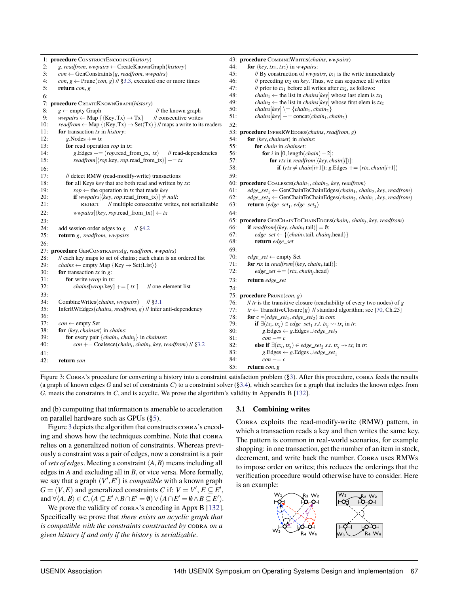<span id="page-5-1"></span>

|     | 1: procedure CONSTRUCTENCODING(history)                                                                                         |            | 43: procedure COMBINEWRITES(chains, wwpairs)                                                                    |
|-----|---------------------------------------------------------------------------------------------------------------------------------|------------|-----------------------------------------------------------------------------------------------------------------|
| 2:  | g, readfrom, wwpairs $\leftarrow$ CreateKnownGraph(history)                                                                     | 44:        | <b>for</b> $\langle key, tx_1, tx_2 \rangle$ in wwpairs:                                                        |
| 3:  | $con \leftarrow GenConstraints(g, read from, wwpairs)$                                                                          | 45:        | // By construction of <i>wwpairs</i> , $tx_1$ is the write immediately                                          |
| 4:  | $con, g \leftarrow$ Prune(con, g) // §3.3, executed one or more times                                                           | 46:        | // preceding $tx_2$ on key. Thus, we can sequence all writes                                                    |
| 5:  | return $con, g$                                                                                                                 | 47:        | // prior to $tx_1$ before all writes after $tx_2$ , as follows:                                                 |
| 6:  |                                                                                                                                 | 48:        | <i>chain</i> <sub>1</sub> $\leftarrow$ the list in <i>chains</i> [key] whose last elem is $tx_1$                |
|     | 7: procedure CREATEKNOWNGRAPH(history)                                                                                          | 49:        | <i>chain</i> <sub>2</sub> $\leftarrow$ the list in <i>chains</i> [key] whose first elem is $tx_2$               |
| 8:  | $g \leftarrow$ empty Graph<br>$\frac{1}{\pi}$ the known graph                                                                   | 50:        | $chains[key] \equiv \{chain_1, chain_2\}$                                                                       |
| 9:  | $wwpairs \leftarrow Map \{\langle Key, Tx \rangle \rightarrow Tx\}$<br>// consecutive writes                                    | 51:        | $chains[key] += \text{concat}(chain_1, chain_2)$                                                                |
| 10: | readfrom $\leftarrow$ Map { $\langle$ Key, Tx $\rangle \rightarrow$ Set $\langle$ Tx $\rangle$ } // maps a write to its readers | 52:        |                                                                                                                 |
| 11: | for transaction $tx$ in $history$ :                                                                                             |            | 53: procedure INFERRWEDGES(chains, readfrom, g)                                                                 |
| 12: | g. Nodes $+= tx$                                                                                                                | 54:        | <b>for</b> $\langle key, chainset \rangle$ in <i>chains</i> :                                                   |
| 13: | for read operation $rop$ in $tx$ :                                                                                              | 55:        | for chain in chainset:                                                                                          |
| 14: | g. Edges $+= (rop.read\_from_tx, tx)$<br>$\frac{1}{2}$ read-dependencies                                                        | 56:        | for <i>i</i> in [0, length( <i>chain</i> ) – 2]:                                                                |
| 15: | readfrom[ $\langle$ rop.key, rop.read_from_tx $\rangle$ ] += tx                                                                 | 57:        | for rtx in readfrom $[\langle key, chain[i] \rangle]$ :                                                         |
| 16: |                                                                                                                                 | 58:        | if $(rtx \ne chain[i+1])$ : g. Edges += $(rtx, chain[i+1])$                                                     |
| 17: | // detect RMW (read-modify-write) transactions                                                                                  | 59:        |                                                                                                                 |
| 18: | for all Keys key that are both read and written by $tx$ .                                                                       |            |                                                                                                                 |
| 19: |                                                                                                                                 |            | 60: procedure COALESCE(chain1, chain2, key, readfrom)                                                           |
| 20: | $rop \leftarrow$ the operation in tx that reads key<br><b>if</b> wwpairs $[\langle key,rop.read\_from_tx \rangle] \neq null$ :  | 61:<br>62: | $edge\_set_1 \leftarrow \text{GenChainToChainEdges}(chain_1, chain_2, key, read from)$                          |
| 21: | // multiple consecutive writes, not serializable<br><b>REJECT</b>                                                               | 63:        | $edge\_set_2 \leftarrow$ GenChainToChainEdges(chain <sub>2</sub> , chain <sub>1</sub> , key, readfrom)          |
|     |                                                                                                                                 |            | <b>return</b> $\langle edge\_set_1, edge\_set_2 \rangle$                                                        |
| 22: | $wwpairs[\langle key,rop.read\_from_tx \rangle] \leftarrow tx$                                                                  | 64:        |                                                                                                                 |
| 23: |                                                                                                                                 |            | 65: procedure GENCHAINToCHAINEDGES(chain <sub>i</sub> , chain <sub>i</sub> , key, readfrom)                     |
| 24: | add session order edges to $g$<br>$11$ \$4.2                                                                                    | 66:        | <b>if</b> readfrom $[\langle key, chain_i, tail \rangle] = \emptyset$ :                                         |
| 25: | return g, readfrom, wwpairs                                                                                                     | 67:        | $edge\_set \leftarrow \{(chain_i.tail, chain_i.head)\}\$                                                        |
| 26: |                                                                                                                                 | 68:        | return edge_set                                                                                                 |
|     | 27: procedure GENCONSTRAINTS(g, readfrom, wwpairs)                                                                              | 69:        |                                                                                                                 |
| 28: | // each key maps to set of chains; each chain is an ordered list                                                                | 70:        | $edge\_set \leftarrow$ empty Set                                                                                |
| 29: | <i>chains</i> $\leftarrow$ empty Map {Key $\rightarrow$ Set $\langle$ List $\rangle$ }                                          | 71:        | for rtx in readfrom $[\langle key, chain_i.tail \rangle]$ :                                                     |
| 30: | for transaction $tx$ in $g$ :                                                                                                   | 72:        | $edge\_set += (rtx, chain, head)$                                                                               |
| 31: | for write <i>wrop</i> in $tx$ :                                                                                                 | 73:        | return edge_set                                                                                                 |
| 32: | <i>chains</i> [ <i>wrop.key</i> ] += [ $tx$ ]<br>// one-element list                                                            | 74:        |                                                                                                                 |
| 33: |                                                                                                                                 |            | 75: procedure PRUNE(con, g)                                                                                     |
| 34: | CombineWrites( <i>chains</i> , <i>wwpairs</i> ) // §3.1                                                                         | 76:        | // $tr$ is the transitive closure (reachability of every two nodes) of $g$                                      |
| 35: | InferRWEdges( <i>chains, readfrom, g</i> ) $\#$ infer anti-dependency                                                           | 77:        | $tr \leftarrow$ TransitiveClosure(g) // standard algorithm; see [70, Ch.25]                                     |
| 36: |                                                                                                                                 | 78:        | <b>for</b> $c = \langle edge\_set_1, edge\_set_2 \rangle$ in con:                                               |
| 37: | $\textit{con} \leftarrow$ empty Set                                                                                             | 79:        | <b>if</b> $\exists (tx_i, tx_j) \in edge\_set_1 \text{ s.t. } tx_i \rightsquigarrow tx_i \text{ in } tr$ :      |
| 38: | for $\langle key, chains \rangle$ in chains:                                                                                    | 80:        | $g.Edges \leftarrow g.Edges \cup edge\_set_2$                                                                   |
| 39: | for every pair $\{chain_i, chain_i\}$ in <i>chainset</i> :                                                                      | 81:        | $con \, -c$                                                                                                     |
| 40: | $con + = Coalesce(chain_i, chain_j, key, read from)$ // §3.2                                                                    | 82:        | <b>else if</b> $\exists (tx_i, tx_j) \in edge\_set_2 \text{ s.t. } tx_j \rightsquigarrow tx_i \text{ in } tr$ : |
| 41: |                                                                                                                                 | 83:        | $g.Edges \leftarrow g.Edges \cup edge\_set_1$                                                                   |
| 42: | return con                                                                                                                      | 84:        | $con \, -c$                                                                                                     |
|     |                                                                                                                                 | 85:        | return $con, g$                                                                                                 |

Figure 3: Cobra's procedure for converting a history into a constraint satisfaction problem ([§3\)](#page-4-0). After this procedure, cobra feeds the results (a graph of known edges *G* and set of constraints *C*) to a constraint solver ([§3.4\)](#page-6-0), which searches for a graph that includes the known edges from *G*, meets the constraints in *C*, and is acyclic. We prove the algorithm's validity in Appendix B [\[132\]](#page-18-7).

and (b) computing that information is amenable to acceleration on parallel hardware such as GPUs ([§5\)](#page-9-1).

Figure [3](#page-5-1) depicts the algorithm that constructs cobrared is encoding and shows how the techniques combine. Note that COBRA relies on a generalized notion of constraints. Whereas previously a constraint was a pair of edges, now a constraint is a pair of *sets of edges*. Meeting a constraint  $\langle A, B \rangle$  means including all edges in *A* and excluding all in *B*, or vice versa. More formally, we say that a graph  $(V', E')$  is *compatible* with a known graph  $G = (V, E)$  and generalized constraints *C* if:  $V = V', E \subseteq E'$ , and  $\forall \langle A, B \rangle \in C$ ,  $(A \subseteq E' \land B \cap E' = \emptyset) \lor (A \cap E' = \emptyset \land B \subseteq E')$ .

We prove the validity of  $\overline{\text{co}}$ <sub>8RA</sub>'s encoding in Appx B [\[132\]](#page-18-7). Specifically we prove that *there exists an acyclic graph that is compatible with the constraints constructed by* cobra *on a given history if and only if the history is serializable*.

## <span id="page-5-0"></span>**3.1 Combining writes**

Cobra exploits the read-modify-write (RMW) pattern, in which a transaction reads a key and then writes the same key. The pattern is common in real-world scenarios, for example shopping: in one transaction, get the number of an item in stock, decrement, and write back the number. COBRA uses RMWs to impose order on writes; this reduces the orderings that the verification procedure would otherwise have to consider. Here is an example:

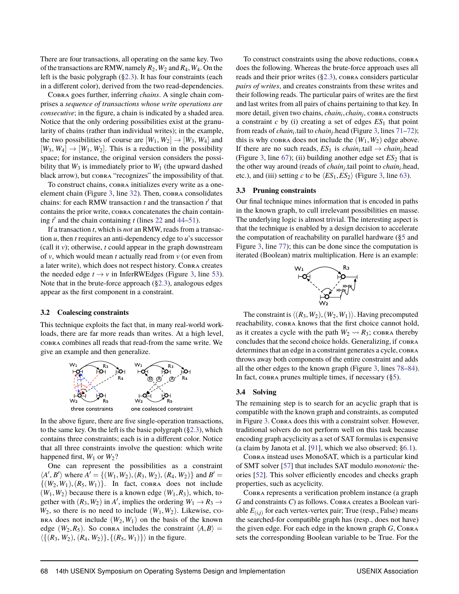There are four transactions, all operating on the same key. Two of the transactions are RMW, namely  $R_2$ ,  $W_2$  and  $R_4$ ,  $W_4$ . On the left is the basic polygraph ([§2.3\)](#page-4-1). It has four constraints (each in a different color), derived from the two read-dependencies.

Cobra goes further, inferring *chains*. A single chain comprises a *sequence of transactions whose write operations are consecutive*; in the figure, a chain is indicated by a shaded area. Notice that the only ordering possibilities exist at the granularity of chains (rather than individual writes); in the example, the two possibilities of course are  $[W_1, W_2] \rightarrow [W_3, W_4]$  and  $[W_3, W_4] \rightarrow [W_1, W_2]$ . This is a reduction in the possibility space; for instance, the original version considers the possibility that  $W_3$  is immediately prior to  $W_1$  (the upward dashed black arrow), but cobra "recognizes" the impossibility of that.

To construct chains, cobra initializes every write as a one-element chain (Figure [3,](#page-5-1) line [32\)](#page-5-1). Then, COBRA consolidates chains: for each RMW transaction  $t$  and the transaction  $t'$  that contains the prior write, cobra concatenates the chain containing  $t'$  and the chain containing  $t$  (lines [22](#page-5-1) and [44–51\)](#page-5-1).

If a transaction *t*, which is *not* an RMW, reads from a transaction *u*, then *t* requires an anti-dependency edge to *u*'s successor (call it *v*); otherwise, *t* could appear in the graph downstream of *v*, which would mean *t* actually read from *v* (or even from a later write), which does not respect history. Cobra creates the needed edge  $t \rightarrow v$  in InferRWEdges (Figure [3,](#page-5-1) line [53\)](#page-5-1). Note that in the brute-force approach ([§2.3\)](#page-4-1), analogous edges appear as the first component in a constraint.

#### <span id="page-6-1"></span>**3.2 Coalescing constraints**

This technique exploits the fact that, in many real-world workloads, there are far more reads than writes. At a high level, cobra combines all reads that read-from the same write. We give an example and then generalize.



In the above figure, there are five single-operation transactions, to the same key. On the left is the basic polygraph ([§2.3\)](#page-4-1), which contains three constraints; each is in a different color. Notice that all three constraints involve the question: which write happened first,  $W_1$  or  $W_2$ ?

One can represent the possibilities as a constraint  $\langle A', B' \rangle$  where  $A' = \{ (W_1, W_2), (R_3, W_2), (R_4, W_2) \}$  and  $B' =$  $\{(W_2, W_1), (R_5, W_1)\}\$ . In fact, COBRA does not include  $(W_1, W_2)$  because there is a known edge  $(W_1, R_3)$ , which, together with  $(R_3, W_2)$  in *A'*, implies the ordering  $W_1 \rightarrow R_3 \rightarrow$  $W_2$ , so there is no need to include  $(W_1, W_2)$ . Likewise, co- $BRA$  does not include  $(W_2, W_1)$  on the basis of the known edge ( $W_2, R_5$ ). So cobra includes the constraint  $\langle A, B \rangle =$  $\langle \{(R_3, W_2), (R_4, W_2)\}, \{(R_5, W_1)\}\rangle$  in the figure.

To construct constraints using the above reductions, cobra does the following. Whereas the brute-force approach uses all reads and their prior writes  $(\S2.3)$ , cobra considers particular *pairs of writes*, and creates constraints from these writes and their following reads. The particular pairs of writes are the first and last writes from all pairs of chains pertaining to that key. In more detail, given two chains, *chain<sup>i</sup>* , *chain<sup>j</sup>* , cobra constructs a constraint  $c$  by (i) creating a set of edges  $ES<sub>1</sub>$  that point from reads of *chain<sub>i</sub>* tail to *chain<sub>i</sub>* head (Figure [3,](#page-5-1) lines [71–72\)](#page-5-1); this is why cobra does not include the  $(W_1, W_2)$  edge above. If there are no such reads,  $ES_1$  is  $chain_i$  tail  $\rightarrow chain_j$  head (Figure [3,](#page-5-1) line  $67$ ); (ii) building another edge set  $ES_2$  that is the other way around (reads of *chain<sup>j</sup>* .tail point to *chain<sup>i</sup>* .head, etc.), and (iii) setting *c* to be  $\langle ES_1, ES_2 \rangle$  (Figure [3,](#page-5-1) line [63\)](#page-5-1).

#### <span id="page-6-2"></span>**3.3 Pruning constraints**

Our final technique mines information that is encoded in paths in the known graph, to cull irrelevant possibilities en masse. The underlying logic is almost trivial. The interesting aspect is that the technique is enabled by a design decision to accelerate the computation of reachability on parallel hardware ([§5](#page-9-1) and Figure [3,](#page-5-1) line [77\)](#page-5-1); this can be done since the computation is iterated (Boolean) matrix multiplication. Here is an example:



The constraint is  $\langle (R_3, W_2), (W_2, W_1) \rangle$ . Having precomputed reachability, cobra knows that the first choice cannot hold, as it creates a cycle with the path  $W_2 \rightarrow R_3$ ; cobra thereby concludes that the second choice holds. Generalizing, if cobra determines that an edge in a constraint generates a cycle, COBRA throws away both components of the entire constraint and adds all the other edges to the known graph (Figure [3,](#page-5-1) lines [78–84\)](#page-5-1). In fact,  $\cos R$  prunes multiple times, if necessary ([§5\)](#page-9-1).

#### <span id="page-6-0"></span>**3.4 Solving**

The remaining step is to search for an acyclic graph that is compatible with the known graph and constraints, as computed in Figure [3.](#page-5-1) Cobra does this with a constraint solver. However, traditional solvers do not perform well on this task because encoding graph acyclicity as a set of SAT formulas is expensive (a claim by Janota et al. [\[91\]](#page-17-9), which we also observed; [§6.1\)](#page-10-1).

Cobra instead uses MonoSAT, which is a particular kind of SMT solver [\[57\]](#page-16-11) that includes SAT modulo *monotonic* theories [\[52\]](#page-16-18). This solver efficiently encodes and checks graph properties, such as acyclicity.

Cobra represents a verification problem instance (a graph *G* and constraints *C*) as follows. Cobra creates a Boolean variable *E*(*i*,*j*) for each vertex-vertex pair; True (resp., False) means the searched-for compatible graph has (resp., does not have) the given edge. For each edge in the known graph *G*, COBRA sets the corresponding Boolean variable to be True. For the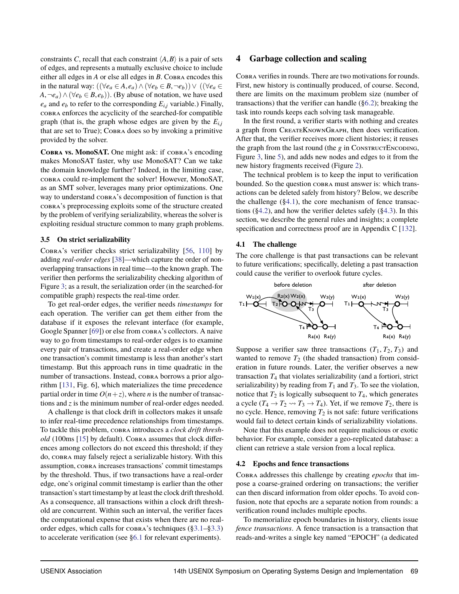constraints *C*, recall that each constraint  $\langle A, B \rangle$  is a pair of sets of edges, and represents a mutually exclusive choice to include either all edges in *A* or else all edges in *B*. Cobra encodes this in the natural way:  $((\forall e_a \in A, e_a) \land (\forall e_b \in B, \neg e_b)) \lor ((\forall e_a \in A, e_a) \land (\forall e_a \in A, e_b))$ *A*,  $\neg e_a$ ) ∧ ( $\forall e_b \in B, e_b$ )). (By abuse of notation, we have used  $e_a$  and  $e_b$  to refer to the corresponding  $E_{i,j}$  variable.) Finally, cobra enforces the acyclicity of the searched-for compatible graph (that is, the graph whose edges are given by the  $E_{i,j}$ that are set to True); Cobra does so by invoking a primitive provided by the solver.

**Cobra vs. MonoSAT.** One might ask: if cobra's encoding makes MonoSAT faster, why use MonoSAT? Can we take the domain knowledge further? Indeed, in the limiting case, cobra could re-implement the solver! However, MonoSAT, as an SMT solver, leverages many prior optimizations. One way to understand cobra's decomposition of function is that cobra's preprocessing exploits some of the structure created by the problem of verifying serializability, whereas the solver is exploiting residual structure common to many graph problems.

#### <span id="page-7-0"></span>**3.5 On strict serializability**

Cobra's verifier checks strict serializability [\[56,](#page-16-7) [110\]](#page-17-0) by adding *real-order edges* [\[38\]](#page-15-25)—which capture the order of nonoverlapping transactions in real time—to the known graph. The verifier then performs the serializability checking algorithm of Figure [3;](#page-5-1) as a result, the serialization order (in the searched-for compatible graph) respects the real-time order.

To get real-order edges, the verifier needs *timestamps* for each operation. The verifier can get them either from the database if it exposes the relevant interface (for example, Google Spanner [\[69\]](#page-16-0)) or else from cobra's collectors. A naive way to go from timestamps to real-order edges is to examine every pair of transactions, and create a real-order edge when one transaction's commit timestamp is less than another's start timestamp. But this approach runs in time quadratic in the number of transactions. Instead, COBRA borrows a prior algorithm [\[131,](#page-18-13) Fig. 6], which materializes the time precedence partial order in time  $O(n+z)$ , where *n* is the number of transactions and *z* is the minimum number of real-order edges needed.

A challenge is that clock drift in collectors makes it unsafe to infer real-time precedence relationships from timestamps. To tackle this problem, cobra introduces a *clock drift thresh* $old$  (100ms [\[15\]](#page-15-26) by default). Cobra assumes that clock differences among collectors do not exceed this threshold; if they do, cobra may falsely reject a serializable history. With this assumption, cobra increases transactions' commit timestamps by the threshold. Thus, if two transactions have a real-order edge, one's original commit timestamp is earlier than the other transaction's start timestamp by at least the clock drift threshold. As a consequence, all transactions within a clock drift threshold are concurrent. Within such an interval, the verifier faces the computational expense that exists when there are no realorder edges, which calls for cobra's techniques ([§3.1–](#page-5-0)[§3.3\)](#page-6-2) to accelerate verification (see [§6.1](#page-11-0) for relevant experiments).

#### <span id="page-7-1"></span>**4 Garbage collection and scaling**

Cobra verifies in rounds. There are two motivations for rounds. First, new history is continually produced, of course. Second, there are limits on the maximum problem size (number of transactions) that the verifier can handle ([§6.2\)](#page-11-1); breaking the task into rounds keeps each solving task manageable.

In the first round, a verifier starts with nothing and creates a graph from CreateKnownGraph, then does verification. After that, the verifier receives more client histories; it reuses the graph from the last round (the *g* in CONSTRUCTENCODING, Figure [3,](#page-5-1) line [5\)](#page-5-1), and adds new nodes and edges to it from the new history fragments received (Figure [2\)](#page-4-2).

The technical problem is to keep the input to verification bounded. So the question cobra must answer is: which transactions can be deleted safely from history? Below, we describe the challenge  $(\S 4.1)$ , the core mechanism of fence transactions ([§4.2\)](#page-7-2), and how the verifier deletes safely ([§4.3\)](#page-8-0). In this section, we describe the general rules and insights; a complete specification and correctness proof are in Appendix C [\[132\]](#page-18-7).

#### <span id="page-7-3"></span>**4.1 The challenge**

The core challenge is that past transactions can be relevant to future verifications; specifically, deleting a past transaction could cause the verifier to overlook future cycles.



Suppose a verifier saw three transactions  $(T_1, T_2, T_3)$  and wanted to remove  $T_2$  (the shaded transaction) from consideration in future rounds. Later, the verifier observes a new transaction  $T_4$  that violates serializability (and a fortiori, strict serializability) by reading from  $T_1$  and  $T_3$ . To see the violation, notice that  $T_2$  is logically subsequent to  $T_4$ , which generates a cycle  $(T_4 \rightarrow T_2 \rightarrow T_3 \rightarrow T_4)$ . Yet, if we remove  $T_2$ , there is no cycle. Hence, removing  $T_2$  is not safe: future verifications would fail to detect certain kinds of serializability violations.

Note that this example does not require malicious or exotic behavior. For example, consider a geo-replicated database: a client can retrieve a stale version from a local replica.

#### <span id="page-7-2"></span>**4.2 Epochs and fence transactions**

Cobra addresses this challenge by creating *epochs* that impose a coarse-grained ordering on transactions; the verifier can then discard information from older epochs. To avoid confusion, note that epochs are a separate notion from rounds: a verification round includes multiple epochs.

To memorialize epoch boundaries in history, clients issue *fence transactions*. A fence transaction is a transaction that reads-and-writes a single key named "EPOCH" (a dedicated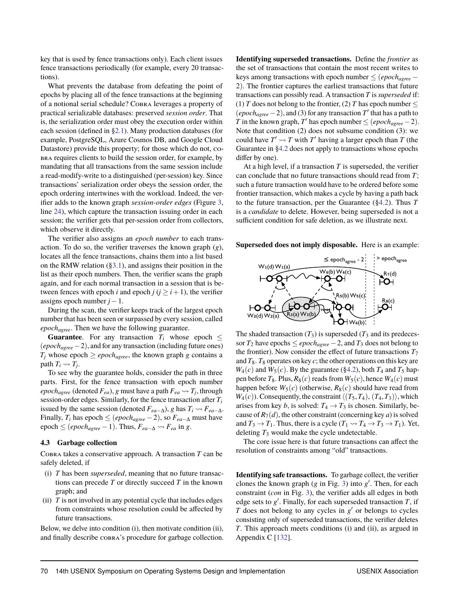key that is used by fence transactions only). Each client issues fence transactions periodically (for example, every 20 transactions).

What prevents the database from defeating the point of epochs by placing all of the fence transactions at the beginning of a notional serial schedule? Cobra leverages a property of practical serializable databases: preserved *session order*. That is, the serialization order must obey the execution order within each session (defined in [§2.1\)](#page-3-3). Many production databases (for example, PostgreSQL, Azure Cosmos DB, and Google Cloud Datastore) provide this property; for those which do not, cobra requires clients to build the session order, for example, by mandating that all transactions from the same session include a read-modify-write to a distinguished (per-session) key. Since transactions' serialization order obeys the session order, the epoch ordering intertwines with the workload. Indeed, the verifier adds to the known graph *session-order edges* (Figure [3,](#page-5-1) line [24\)](#page-5-1), which capture the transaction issuing order in each session; the verifier gets that per-session order from collectors, which observe it directly.

The verifier also assigns an *epoch number* to each transaction. To do so, the verifier traverses the known graph (*g*), locates all the fence transactions, chains them into a list based on the RMW relation ([§3.1\)](#page-5-0), and assigns their position in the list as their epoch numbers. Then, the verifier scans the graph again, and for each normal transaction in a session that is between fences with epoch *i* and epoch  $j$  ( $j \ge i+1$ ), the verifier assigns epoch number *j*−1.

During the scan, the verifier keeps track of the largest epoch number that has been seen or surpassed by every session, called *epochagree*. Then we have the following guarantee.

**Guarantee**. For any transaction  $T_i$  whose epoch  $\leq$ (*epochagree*−2), and for any transaction (including future ones)  $T_i$  whose epoch  $\geq epoch_{agree}$ , the known graph *g* contains a path  $T_i \rightsquigarrow T_j$ .

To see why the guarantee holds, consider the path in three parts. First, for the fence transaction with epoch number *epoch<sub>agree</sub>* (denoted  $F_{ea}$ ), *g* must have a path  $F_{ea} \leadsto T_j$ , through session-order edges. Similarly, for the fence transaction after *T<sup>i</sup>* issued by the same session (denoted  $F_{ea-\Delta}$ ), *g* has  $T_i \rightarrow F_{ea-\Delta}$ . Finally,  $T_i$  has epoch  $\leq$  (*epoch<sub>agree</sub>* −2), so  $F_{ea-\Delta}$  must have epoch ≤ (*epoch<sub>agree</sub>* − 1). Thus,  $F_{ea-∆}$   $\sim$   $F_{ea}$  in *g*.

#### <span id="page-8-0"></span>**4.3 Garbage collection**

Cobra takes a conservative approach. A transaction *T* can be safely deleted, if

- (i) *T* has been *superseded*, meaning that no future transactions can precede *T* or directly succeed *T* in the known graph; and
- (ii) *T* is not involved in any potential cycle that includes edges from constraints whose resolution could be affected by future transactions.

Below, we delve into condition (i), then motivate condition (ii), and finally describe cobra's procedure for garbage collection. **Identifying superseded transactions.** Define the *frontier* as the set of transactions that contain the most recent writes to keys among transactions with epoch number  $\leq$  (*epoch<sub>agree</sub>* – 2). The frontier captures the earliest transactions that future transactions can possibly read. A transaction *T* is*superseded* if: (1) *T* does not belong to the frontier, (2) *T* has epoch number  $\leq$  $(epoch_{agree} - 2)$ , and (3) for any transaction  $T'$  that has a path to *T* in the known graph, *T*<sup> $\prime$ </sup> has epoch number  $\leq$  (*epoch<sub>agree</sub>* − 2). Note that condition (2) does not subsume condition (3): we could have  $T' \rightarrow T$  with  $T'$  having a larger epoch than  $T$  (the Guarantee in [§4.2](#page-7-2) does not apply to transactions whose epochs differ by one).

At a high level, if a transaction *T* is superseded, the verifier can conclude that no future transactions should read from *T*; such a future transaction would have to be ordered before some frontier transaction, which makes a cycle by having a path back to the future transaction, per the Guarantee ([§4.2\)](#page-7-2). Thus *T* is a *candidate* to delete. However, being superseded is not a sufficient condition for safe deletion, as we illustrate next.

**Superseded does not imply disposable.** Here is an example:



The shaded transaction  $(T_3)$  is superseded  $(T_3)$  and its predecessor  $T_2$  have epochs  $\leq epoch_{agree} - 2$ , and  $T_3$  does not belong to the frontier). Now consider the effect of future transactions  $T_7$ and  $T_8$ .  $T_8$  operates on key *c*; the other operations on this key are  $W_4(c)$  and  $W_5(c)$ . By the guarantee ([§4.2\)](#page-7-2), both  $T_4$  and  $T_5$  happen before  $T_8$ . Plus,  $R_8(c)$  reads from  $W_5(c)$ , hence  $W_4(c)$  must happen before  $W_5(c)$  (otherwise,  $R_8(c)$  should have read from  $W_4(c)$ ). Consequently, the constraint  $\langle (T_5, T_4), (T_4, T_3) \rangle$ , which arises from key *b*, is solved:  $T_4 \rightarrow T_3$  is chosen. Similarly, because of  $R_7(d)$ , the other constraint (concerning key *a*) is solved and  $T_3 \rightarrow T_1$ . Thus, there is a cycle  $(T_1 \rightsquigarrow T_4 \rightarrow T_3 \rightarrow T_1)$ . Yet, deleting  $T_3$  would make the cycle undetectable.

The core issue here is that future transactions can affect the resolution of constraints among "old" transactions.

**Identifying safe transactions.** To garbage collect, the verifier clones the known graph  $(g \text{ in Fig. 3})$  into  $g'$ . Then, for each constraint (*con* in Fig. [3\)](#page-5-1), the verifier adds all edges in both edge sets to  $g'$ . Finally, for each superseded transaction  $T$ , if  $T$  does not belong to any cycles in  $g'$  or belongs to cycles consisting only of superseded transactions, the verifier deletes *T*. This approach meets conditions (i) and (ii), as argued in Appendix C [\[132\]](#page-18-7).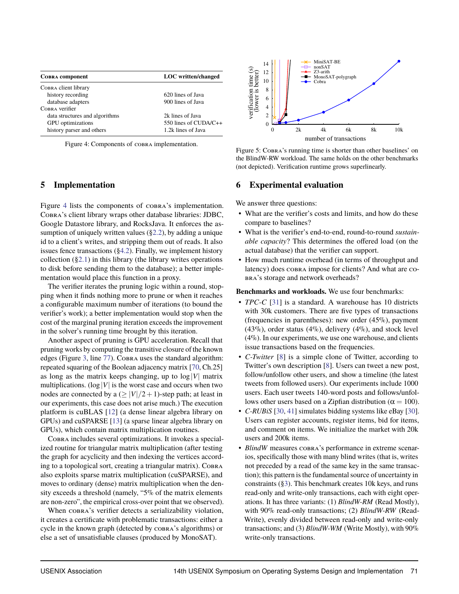<span id="page-9-2"></span>

| <b>COBRA</b> component         | <b>LOC</b> written/changed |
|--------------------------------|----------------------------|
| Совва client library           |                            |
| history recording              | 620 lines of Java          |
| database adapters              | 900 lines of Java          |
| COBRA verifier                 |                            |
| data structures and algorithms | 2k lines of Java           |
| <b>GPU</b> optimizations       | 550 lines of CUDA/C++      |
| history parser and others      | 1.2k lines of Java         |

Figure 4: Components of cobra implementation.

## <span id="page-9-1"></span>**5 Implementation**

Figure [4](#page-9-2) lists the components of cobra's implementation. Cobra's client library wraps other database libraries: JDBC, Google Datastore library, and RocksJava. It enforces the assumption of uniquely written values  $(\S2.2)$ , by adding a unique id to a client's writes, and stripping them out of reads. It also issues fence transactions ([§4.2\)](#page-7-2). Finally, we implement history collection  $(\S 2.1)$  in this library (the library writes operations to disk before sending them to the database); a better implementation would place this function in a proxy.

The verifier iterates the pruning logic within a round, stopping when it finds nothing more to prune or when it reaches a configurable maximum number of iterations (to bound the verifier's work); a better implementation would stop when the cost of the marginal pruning iteration exceeds the improvement in the solver's running time brought by this iteration.

Another aspect of pruning is GPU acceleration. Recall that pruning works by computing the transitive closure of the known edges (Figure [3,](#page-5-1) line [77\)](#page-5-1). Соввая uses the standard algorithm: repeated squaring of the Boolean adjacency matrix [\[70,](#page-16-21) Ch.25] as long as the matrix keeps changing, up to  $log|V|$  matrix multiplications. ( $log|V|$  is the worst case and occurs when two nodes are connected by a  $\left(\geq |V|/2+1\right)$ -step path; at least in our experiments, this case does not arise much.) The execution platform is cuBLAS [\[12\]](#page-15-27) (a dense linear algebra library on GPUs) and cuSPARSE [\[13\]](#page-15-28) (a sparse linear algebra library on GPUs), which contain matrix multiplication routines.

Cobra includes several optimizations. It invokes a specialized routine for triangular matrix multiplication (after testing the graph for acyclicity and then indexing the vertices according to a topological sort, creating a triangular matrix). COBRA also exploits sparse matrix multiplication (cuSPARSE), and moves to ordinary (dense) matrix multiplication when the density exceeds a threshold (namely, "5% of the matrix elements are non-zero", the empirical cross-over point that we observed).

When  $\cos R$ 's verifier detects a serializability violation, it creates a certificate with problematic transactions: either a cycle in the known graph (detected by cobra's algorithms) or else a set of unsatisfiable clauses (produced by MonoSAT).

<span id="page-9-3"></span>

Figure 5: COBRA's running time is shorter than other baselines' on the BlindW-RW workload. The same holds on the other benchmarks (not depicted). Verification runtime grows superlinearly.

#### <span id="page-9-0"></span>**6 Experimental evaluation**

We answer three questions:

- What are the verifier's costs and limits, and how do these compare to baselines?
- What is the verifier's end-to-end, round-to-round *sustainable capacity*? This determines the offered load (on the actual database) that the verifier can support.
- How much runtime overhead (in terms of throughput and latency) does cobra impose for clients? And what are cobra's storage and network overheads?

**Benchmarks and workloads.** We use four benchmarks:

- *TPC-C* [\[31\]](#page-15-29) is a standard. A warehouse has 10 districts with 30k customers. There are five types of transactions (frequencies in parentheses): new order (45%), payment  $(43\%)$ , order status  $(4\%)$ , delivery  $(4\%)$ , and stock level (4%). In our experiments, we use one warehouse, and clients issue transactions based on the frequencies.
- *C-Twitter* [\[8\]](#page-15-30) is a simple clone of Twitter, according to Twitter's own description [\[8\]](#page-15-30). Users can tweet a new post, follow/unfollow other users, and show a timeline (the latest tweets from followed users). Our experiments include 1000 users. Each user tweets 140-word posts and follows/unfollows other users based on a Zipfian distribution ( $\alpha = 100$ ).
- *C-RUBiS* [\[30,](#page-15-31) [41\]](#page-15-32) simulates bidding systems like eBay [\[30\]](#page-15-31). Users can register accounts, register items, bid for items, and comment on items. We initialize the market with 20k users and 200k items.
- *BlindW* measures  $\cosh A$ 's performance in extreme scenarios, specifically those with many blind writes (that is, writes not preceded by a read of the same key in the same transaction); this pattern is the fundamental source of uncertainty in constraints ([§3\)](#page-4-0). This benchmark creates 10k keys, and runs read-only and write-only transactions, each with eight operations. It has three variants: (1) *BlindW-RM* (Read Mostly), with 90% read-only transactions; (2) *BlindW-RW* (Read-Write), evenly divided between read-only and write-only transactions; and (3) *BlindW-WM* (Write Mostly), with 90% write-only transactions.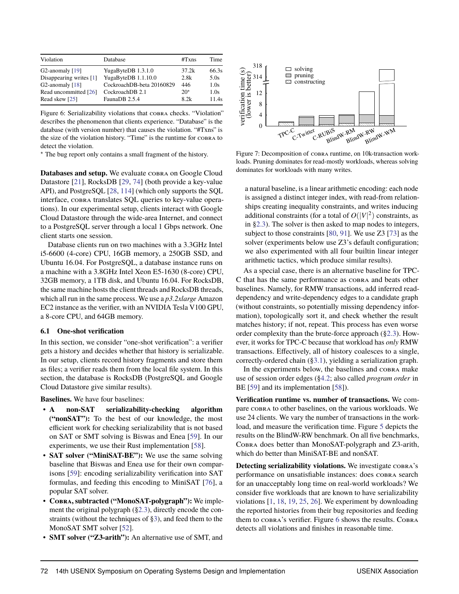<span id="page-10-2"></span>

| Violation               | Database                  | #Txns | Time  |
|-------------------------|---------------------------|-------|-------|
| G2-anomaly $[19]$       | YugaByteDB 1.3.1.0        | 37.2k | 66.3s |
| Disappearing writes [1] | YugaByteDB 1.1.10.0       | 2.8k  | 5.0s  |
| G2-anomaly $[18]$       | CockroachDB-beta 20160829 | 446   | 1.0s  |
| Read uncommitted [26]   | CockroachDB 2.1           | $20*$ | 1.0s  |
| Read skew [25]          | FaunaDB 2.5.4             | 8.2k  | 11.4s |

Figure 6: Serializability violations that cobra checks. "Violation" describes the phenomenon that clients experience. "Database" is the database (with version number) that causes the violation. "#Txns" is the size of the violation history. "Time" is the runtime for cobra to detect the violation.

? The bug report only contains a small fragment of the history.

Databases and setup. We evaluate COBRA on Google Cloud Datastore [\[21\]](#page-15-7), RocksDB [\[29,](#page-15-33) [74\]](#page-16-22) (both provide a key-value API), and PostgreSQL [\[28,](#page-15-34) [114\]](#page-17-12) (which only supports the SQL interface, cobra translates SQL queries to key-value operations). In our experimental setup, clients interact with Google Cloud Datastore through the wide-area Internet, and connect to a PostgreSQL server through a local 1 Gbps network. One client starts one session.

Database clients run on two machines with a 3.3GHz Intel i5-6600 (4-core) CPU, 16GB memory, a 250GB SSD, and Ubuntu 16.04. For PostgreSQL, a database instance runs on a machine with a 3.8GHz Intel Xeon E5-1630 (8-core) CPU, 32GB memory, a 1TB disk, and Ubuntu 16.04. For RocksDB, the same machine hosts the client threads and RocksDB threads, which all run in the same process. We use a *p3.2xlarge* Amazon EC2 instance as the verifier, with an NVIDIA Tesla V100 GPU, a 8-core CPU, and 64GB memory.

#### <span id="page-10-1"></span>**6.1 One-shot verification**

In this section, we consider "one-shot verification": a verifier gets a history and decides whether that history is serializable. In our setup, clients record history fragments and store them as files; a verifier reads them from the local file system. In this section, the database is RocksDB (PostgreSQL and Google Cloud Datastore give similar results).

**Baselines.** We have four baselines:

- **A non-SAT serializability-checking algorithm ("nonSAT"):** To the best of our knowledge, the most efficient work for checking serializability that is not based on SAT or SMT solving is Biswas and Enea [\[59\]](#page-16-9). In our experiments, we use their Rust implementation [\[58\]](#page-16-23).
- **SAT solver ("MiniSAT-BE"):** We use the same solving baseline that Biswas and Enea use for their own comparisons [\[59\]](#page-16-9): encoding serializability verification into SAT formulas, and feeding this encoding to MiniSAT [\[76\]](#page-16-24), a popular SAT solver.
- **Cobra, subtracted ("MonoSAT-polygraph"):** We implement the original polygraph ([§2.3\)](#page-4-1), directly encode the constraints (without the techniques of [§3\)](#page-4-0), and feed them to the MonoSAT SMT solver [\[52\]](#page-16-18).
- **SMT solver ("Z3-arith"):** An alternative use of SMT, and

<span id="page-10-0"></span>

Figure 7: Decomposition of cobra runtime, on 10k-transaction workloads. Pruning dominates for read-mostly workloads, whereas solving dominates for workloads with many writes.

a natural baseline, is a linear arithmetic encoding: each node is assigned a distinct integer index, with read-from relationships creating inequality constraints, and writes inducing additional constraints (for a total of  $O(|V|^2)$  constraints, as in [§2.3\)](#page-4-1). The solver is then asked to map nodes to integers, subject to those constraints [\[80,](#page-16-17) [91\]](#page-17-9). We use Z3 [\[73\]](#page-16-13) as the solver (experiments below use Z3's default configuration; we also experimented with all four builtin linear integer arithmetic tactics, which produce similar results).

As a special case, there is an alternative baseline for TPC-C that has the same performance as cobra and beats other baselines. Namely, for RMW transactions, add inferred readdependency and write-dependency edges to a candidate graph (without constraints, so potentially missing dependency information), topologically sort it, and check whether the result matches history; if not, repeat. This process has even worse order complexity than the brute-force approach ([§2.3\)](#page-4-1). However, it works for TPC-C because that workload has *only* RMW transactions. Effectively, all of history coalesces to a single, correctly-ordered chain ([§3.1\)](#page-5-0), yielding a serialization graph.

In the experiments below, the baselines and cobra make use of session order edges ([§4.2;](#page-7-2) also called *program order* in BE [\[59\]](#page-16-9) and its implementation [\[58\]](#page-16-23)).

**Verification runtime vs. number of transactions.** We compare cobra to other baselines, on the various workloads. We use 24 clients. We vary the number of transactions in the workload, and measure the verification time. Figure [5](#page-9-3) depicts the results on the BlindW-RW benchmark. On all five benchmarks, Cobra does better than MonoSAT-polygraph and Z3-arith, which do better than MiniSAT-BE and nonSAT.

**Detecting serializability violations.** We investigate cobra's performance on unsatisfiable instances: does cobra search for an unacceptably long time on real-world workloads? We consider five workloads that are known to have serializability violations [\[1,](#page-15-10) [18,](#page-15-11) [19,](#page-15-12) [25,](#page-15-13) [26\]](#page-15-14). We experiment by downloading the reported histories from their bug repositories and feeding them to  $\cos R$ 's verifier. Figure [6](#page-10-2) shows the results. COBRA detects all violations and finishes in reasonable time.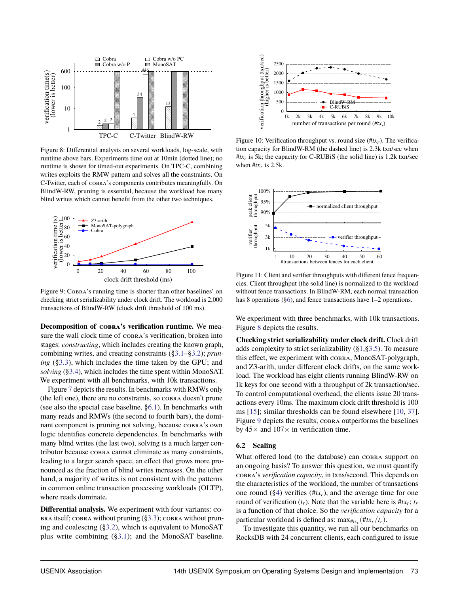<span id="page-11-2"></span>

Figure 8: Differential analysis on several workloads, log-scale, with runtime above bars. Experiments time out at 10min (dotted line); no runtime is shown for timed-out experiments. On TPC-C, combining writes exploits the RMW pattern and solves all the constraints. On C-Twitter, each of cobra's components contributes meaningfully. On BlindW-RW, pruning is essential, because the workload has many blind writes which cannot benefit from the other two techniques.

<span id="page-11-0"></span>

Figure 9: Cobra's running time is shorter than other baselines' on checking strict serializability under clock drift. The workload is 2,000 transactions of BlindW-RW (clock drift threshold of 100 ms).

**Decomposition of cobra's verification runtime.** We measure the wall clock time of  $\cos R$  is verification, broken into stages: *constructing*, which includes creating the known graph, combining writes, and creating constraints ([§3.1–](#page-5-0)[§3.2\)](#page-6-1); *pruning* ([§3.3\)](#page-6-2), which includes the time taken by the GPU; and *solving* ([§3.4\)](#page-6-0), which includes the time spent within MonoSAT. We experiment with all benchmarks, with 10k transactions.

Figure [7](#page-10-0) depicts the results. In benchmarks with RMWs only (the left one), there are no constraints, so cobra doesn't prune (see also the special case baseline, [§6.1\)](#page-10-1). In benchmarks with many reads and RMWs (the second to fourth bars), the dominant component is pruning not solving, because cobra's own logic identifies concrete dependencies. In benchmarks with many blind writes (the last two), solving is a much larger contributor because cobra cannot eliminate as many constraints, leading to a larger search space, an effect that grows more pronounced as the fraction of blind writes increases. On the other hand, a majority of writes is not consistent with the patterns in common online transaction processing workloads (OLTP), where reads dominate.

**Differential analysis.** We experiment with four variants: co- $BRA$  itself; cobra without pruning  $(\S3.3)$ ; cobra without pruning and coalescing ([§3.2\)](#page-6-1), which is equivalent to MonoSAT plus write combining ([§3.1\)](#page-5-0); and the MonoSAT baseline.

<span id="page-11-3"></span>

Figure 10: Verification throughput vs. round size  $(\#tx_r)$ . The verification capacity for BlindW-RM (the dashed line) is 2.3k txn/sec when  $#tx_r$  is 5k; the capacity for C-RUBiS (the solid line) is 1.2k txn/sec when  $#tx_r$  is 2.5k.

<span id="page-11-4"></span>

Figure 11: Client and verifier throughputs with different fence frequencies. Client throughput (the solid line) is normalized to the workload without fence transactions. In BlindW-RM, each normal transaction has 8 operations ([§6\)](#page-9-0), and fence transactions have 1–2 operations.

We experiment with three benchmarks, with 10k transactions. Figure [8](#page-11-2) depicts the results.

**Checking strict serializability under clock drift.** Clock drift adds complexity to strict serializability ([§1,](#page-1-0)[§3.5\)](#page-7-0). To measure this effect, we experiment with cobra, MonoSAT-polygraph, and Z3-arith, under different clock drifts, on the same workload. The workload has eight clients running BlindW-RW on 1k keys for one second with a throughput of 2k transaction/sec. To control computational overhead, the clients issue 20 transactions every 10ms. The maximum clock drift threshold is 100 ms [\[15\]](#page-15-26); similar thresholds can be found elsewhere [\[10,](#page-15-35) [37\]](#page-15-36). Figure [9](#page-11-0) depicts the results; COBRA outperforms the baselines by  $45\times$  and  $107\times$  in verification time.

#### <span id="page-11-1"></span>**6.2 Scaling**

What offered load (to the database) can COBRA support on an ongoing basis? To answer this question, we must quantify cobra's *verification capacity*, in txns/second. This depends on the characteristics of the workload, the number of transactions one round  $(\S 4)$  verifies ( $\# t x_r$ ), and the average time for one round of verification  $(t_r)$ . Note that the variable here is  $#tx_r$ ;  $t_r$ is a function of that choice. So the *verification capacity* for a particular workload is defined as:  $\max_{\#tx_r} (\# tx_r/t_r)$ .

To investigate this quantity, we run all our benchmarks on RocksDB with 24 concurrent clients, each configured to issue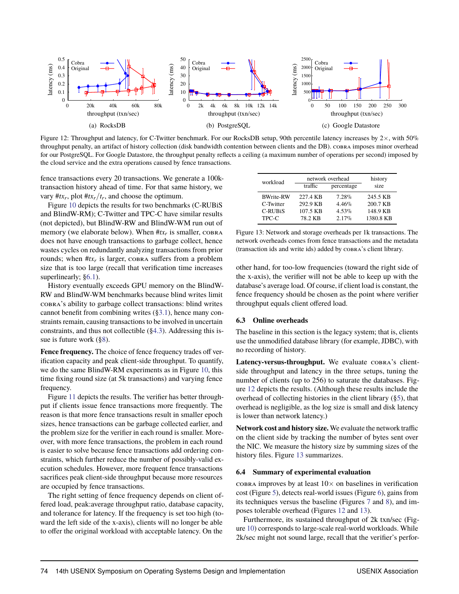<span id="page-12-0"></span>

Figure 12: Throughput and latency, for C-Twitter benchmark. For our RocksDB setup, 90th percentile latency increases by  $2\times$ , with 50% throughput penalty, an artifact of history collection (disk bandwidth contention between clients and the DB). cobra imposes minor overhead for our PostgreSQL. For Google Datastore, the throughput penalty reflects a ceiling (a maximum number of operations per second) imposed by the cloud service and the extra operations caused by fence transactions.

fence transactions every 20 transactions. We generate a 100ktransaction history ahead of time. For that same history, we vary  $#tx_r$ , plot  $#tx_r/t_r$ , and choose the optimum.

Figure [10](#page-11-3) depicts the results for two benchmarks (C-RUBiS and BlindW-RM); C-Twitter and TPC-C have similar results (not depicted), but BlindW-RW and BlindW-WM run out of memory (we elaborate below). When  $\#tx_r$  is smaller,  $\cosh A$ does not have enough transactions to garbage collect, hence wastes cycles on redundantly analyzing transactions from prior rounds; when  $#tx_r$  is larger, cobra suffers from a problem size that is too large (recall that verification time increases superlinearly; [§6.1\)](#page-10-1).

History eventually exceeds GPU memory on the BlindW-RW and BlindW-WM benchmarks because blind writes limit cobra's ability to garbage collect transactions: blind writes cannot benefit from combining writes ([§3.1\)](#page-5-0), hence many constraints remain, causing transactions to be involved in uncertain constraints, and thus not collectible ([§4.3\)](#page-8-0). Addressing this issue is future work ([§8\)](#page-14-0).

**Fence frequency.** The choice of fence frequency trades off verification capacity and peak client-side throughput. To quantify, we do the same BlindW-RM experiments as in Figure [10,](#page-11-3) this time fixing round size (at 5k transactions) and varying fence frequency.

Figure [11](#page-11-4) depicts the results. The verifier has better throughput if clients issue fence transactions more frequently. The reason is that more fence transactions result in smaller epoch sizes, hence transactions can be garbage collected earlier, and the problem size for the verifier in each round is smaller. Moreover, with more fence transactions, the problem in each round is easier to solve because fence transactions add ordering constraints, which further reduce the number of possibly-valid execution schedules. However, more frequent fence transactions sacrifices peak client-side throughput because more resources are occupied by fence transactions.

The right setting of fence frequency depends on client offered load, peak:average throughput ratio, database capacity, and tolerance for latency. If the frequency is set too high (toward the left side of the x-axis), clients will no longer be able to offer the original workload with acceptable latency. On the

<span id="page-12-1"></span>

| workload         | network overhead | history    |           |
|------------------|------------------|------------|-----------|
|                  | traffic          | percentage | size      |
| <b>BWrite-RW</b> | 227.4 KB         | $7.28\%$   | 245.5 KB  |
| C-Twitter        | 292.9 KB         | $4.46\%$   | 200.7 KB  |
| $C$ -RUBiS       | 107.5 KB         | $4.53\%$   | 148.9 KB  |
| TPC-C            | 78.2 KB          | 2.17%      | 1380.8 KB |

Figure 13: Network and storage overheads per 1k transactions. The network overheads comes from fence transactions and the metadata (transaction ids and write ids) added by cobra's client library.

other hand, for too-low frequencies (toward the right side of the x-axis), the verifier will not be able to keep up with the database's average load. Of course, if client load is constant, the fence frequency should be chosen as the point where verifier throughput equals client offered load.

#### **6.3 Online overheads**

The baseline in this section is the legacy system; that is, clients use the unmodified database library (for example, JDBC), with no recording of history.

Latency-versus-throughput. We evaluate COBRA's clientside throughput and latency in the three setups, tuning the number of clients (up to 256) to saturate the databases. Figure [12](#page-12-0) depicts the results. (Although these results include the overhead of collecting histories in the client library ([§5\)](#page-9-1), that overhead is negligible, as the log size is small and disk latency is lower than network latency.)

**Network cost and history size.** We evaluate the network traffic on the client side by tracking the number of bytes sent over the NIC. We measure the history size by summing sizes of the history files. Figure [13](#page-12-1) summarizes.

#### **6.4 Summary of experimental evaluation**

cobra improves by at least  $10\times$  on baselines in verification cost (Figure [5\)](#page-9-3), detects real-world issues (Figure [6\)](#page-10-2), gains from its techniques versus the baseline (Figures [7](#page-10-0) and [8\)](#page-11-2), and imposes tolerable overhead (Figures [12](#page-12-0) and [13\)](#page-12-1).

Furthermore, its sustained throughput of 2k txn/sec (Figure [10\)](#page-11-3) corresponds to large-scale real-world workloads. While 2k/sec might not sound large, recall that the verifier's perfor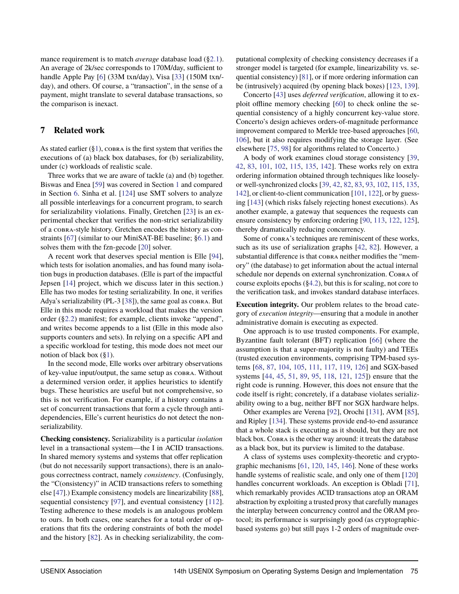mance requirement is to match *average* database load ([§2.1\)](#page-3-3). An average of 2k/sec corresponds to 170M/day, sufficient to handle Apple Pay [\[6\]](#page-15-21) (33M txn/day), Visa [\[33\]](#page-15-22) (150M txn/ day), and others. Of course, a "transaction", in the sense of a payment, might translate to several database transactions, so the comparison is inexact.

## <span id="page-13-0"></span>**7 Related work**

As stated earlier  $(\S1)$ , COBRA is the first system that verifies the executions of (a) black box databases, for (b) serializability, under (c) workloads of realistic scale.

Three works that we are aware of tackle (a) and (b) together. Biswas and Enea [\[59\]](#page-16-9) was covered in Section [1](#page-1-0) and compared in Section [6.](#page-9-0) Sinha et al. [\[124\]](#page-17-5) use SMT solvers to analyze all possible interleavings for a concurrent program, to search for serializability violations. Finally, Gretchen [\[23\]](#page-15-37) is an experimental checker that verifies the non-strict serializability of a cobra-style history. Gretchen encodes the history as constraints [\[67\]](#page-16-25) (similar to our MiniSAT-BE baseline; [§6.1\)](#page-10-1) and solves them with the fzn-gecode [\[20\]](#page-15-38) solver.

A recent work that deserves special mention is Elle [\[94\]](#page-17-13), which tests for isolation anomalies, and has found many isolation bugs in production databases. (Elle is part of the impactful Jepsen [\[14\]](#page-15-39) project, which we discuss later in this section.) Elle has two modes for testing serializability. In one, it verifies Adya's serializability (PL-3 [\[38\]](#page-15-25)), the same goal as cobra. But Elle in this mode requires a workload that makes the version order ([§2.2\)](#page-3-2) manifest; for example, clients invoke "append", and writes become appends to a list (Elle in this mode also supports counters and sets). In relying on a specific API and a specific workload for testing, this mode does not meet our notion of black box  $(\S1)$ .

In the second mode, Elle works over arbitrary observations of key-value input/output, the same setup as cobra. Without a determined version order, it applies heuristics to identify bugs. These heuristics are useful but not comprehensive, so this is not verification. For example, if a history contains a set of concurrent transactions that form a cycle through antidependencies, Elle's current heuristics do not detect the nonserializability.

**Checking consistency.** Serializability is a particular *isolation* level in a transactional system—the I in ACID transactions. In shared memory systems and systems that offer replication (but do not necessarily support transactions), there is an analogous correctness contract, namely *consistency*. (Confusingly, the "C(onsistency)" in ACID transactions refers to something else [\[47\]](#page-16-26).) Example consistency models are linearizability [\[88\]](#page-17-14), sequential consistency [\[97\]](#page-17-15), and eventual consistency [\[112\]](#page-17-16). Testing adherence to these models is an analogous problem to ours. In both cases, one searches for a total order of operations that fits the ordering constraints of both the model and the history [\[82\]](#page-16-27). As in checking serializability, the computational complexity of checking consistency decreases if a stronger model is targeted (for example, linearizability vs. sequential consistency) [\[81\]](#page-16-28), or if more ordering information can be (intrusively) acquired (by opening black boxes) [\[123,](#page-17-4) [139\]](#page-18-14).

Concerto [\[43\]](#page-15-40) uses *deferred verification*, allowing it to exploit offline memory checking [\[60\]](#page-16-29) to check online the sequential consistency of a highly concurrent key-value store. Concerto's design achieves orders-of-magnitude performance improvement compared to Merkle tree-based approaches [\[60,](#page-16-29) [106\]](#page-17-17), but it also requires modifying the storage layer. (See elsewhere [\[75,](#page-16-30) [98\]](#page-17-18) for algorithms related to Concerto.)

A body of work examines cloud storage consistency [\[39,](#page-15-41) [42,](#page-15-42) [83,](#page-16-31) [101,](#page-17-19) [102,](#page-17-20) [115,](#page-17-21) [135,](#page-18-15) [142\]](#page-18-16). These works rely on extra ordering information obtained through techniques like looselyor well-synchronized clocks [\[39,](#page-15-41) [42,](#page-15-42) [82,](#page-16-27) [83,](#page-16-31) [93,](#page-17-22) [102,](#page-17-20) [115,](#page-17-21) [135,](#page-18-15) [142\]](#page-18-16), or client-to-client communication [\[101,](#page-17-19) [122\]](#page-17-23), or by guessing [\[143\]](#page-18-5) (which risks falsely rejecting honest executions). As another example, a gateway that sequences the requests can ensure consistency by enforcing ordering [\[90,](#page-17-24) [113,](#page-17-25) [122,](#page-17-23) [125\]](#page-17-26), thereby dramatically reducing concurrency.

Some of  $\cos R$ 's techniques are reminiscent of these works, such as its use of serialization graphs [\[42,](#page-15-42) [82\]](#page-16-27). However, a substantial difference is that cobra neither modifies the "memory" (the database) to get information about the actual internal schedule nor depends on external synchronization. Cobra of course exploits epochs ([§4.2\)](#page-7-2), but this is for scaling, not core to the verification task, and invokes standard database interfaces.

**Execution integrity.** Our problem relates to the broad category of *execution integrity*—ensuring that a module in another administrative domain is executing as expected.

One approach is to use trusted components. For example, Byzantine fault tolerant (BFT) replication [\[66\]](#page-16-32) (where the assumption is that a super-majority is not faulty) and TEEs (trusted execution environments, comprising TPM-based systems [\[68,](#page-16-33) [87,](#page-17-27) [104,](#page-17-28) [105,](#page-17-29) [111,](#page-17-30) [117,](#page-17-31) [119,](#page-17-32) [126\]](#page-17-33) and SGX-based systems [\[44,](#page-15-43) [45,](#page-15-44) [51,](#page-16-34) [89,](#page-17-34) [95,](#page-17-35) [118,](#page-17-36) [121,](#page-17-37) [125\]](#page-17-26)) ensure that the right code is running. However, this does not ensure that the code itself is right; concretely, if a database violates serializability owing to a bug, neither BFT nor SGX hardware helps.

Other examples are Verena [\[92\]](#page-17-38), Orochi [\[131\]](#page-18-13), AVM [\[85\]](#page-16-35), and Ripley [\[134\]](#page-18-17). These systems provide end-to-end assurance that a whole stack is executing as it should, but they are not black box. Cobra is the other way around: it treats the database as a black box, but its purview is limited to the database.

A class of systems uses complexity-theoretic and cryptographic mechanisms [\[61,](#page-16-36) [120,](#page-17-39) [145,](#page-18-18) [146\]](#page-18-19). None of these works handle systems of realistic scale, and only one of them [\[120\]](#page-17-39) handles concurrent workloads. An exception is Obladi [\[71\]](#page-16-37), which remarkably provides ACID transactions atop an ORAM abstraction by exploiting a trusted proxy that carefully manages the interplay between concurrency control and the ORAM protocol; its performance is surprisingly good (as cryptographicbased systems go) but still pays 1-2 orders of magnitude over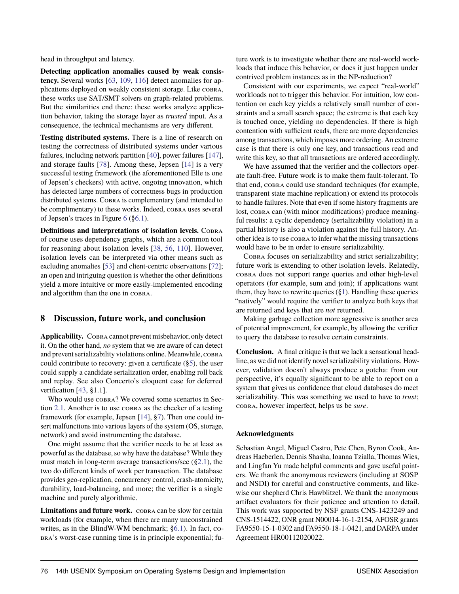head in throughput and latency.

**Detecting application anomalies caused by weak consistency.** Several works [\[63,](#page-16-38) [109,](#page-17-3) [116\]](#page-17-40) detect anomalies for applications deployed on weakly consistent storage. Like cobra, these works use SAT/SMT solvers on graph-related problems. But the similarities end there: these works analyze application behavior, taking the storage layer as *trusted* input. As a consequence, the technical mechanisms are very different.

**Testing distributed systems.** There is a line of research on testing the correctness of distributed systems under various failures, including network partition [\[40\]](#page-15-9), power failures [\[147\]](#page-18-2), and storage faults [\[78\]](#page-16-4). Among these, Jepsen [\[14\]](#page-15-39) is a very successful testing framework (the aforementioned Elle is one of Jepsen's checkers) with active, ongoing innovation, which has detected large numbers of correctness bugs in production distributed systems. Cobra is complementary (and intended to be complimentary) to these works. Indeed, COBRA uses several of Jepsen's traces in Figure [6](#page-10-2) ([§6.1\)](#page-10-1).

**Definitions and interpretations of isolation levels.** COBRA of course uses dependency graphs, which are a common tool for reasoning about isolation levels [\[38,](#page-15-25) [56,](#page-16-7) [110\]](#page-17-0). However, isolation levels can be interpreted via other means such as excluding anomalies [\[53\]](#page-16-39) and client-centric observations [\[72\]](#page-16-40); an open and intriguing question is whether the other definitions yield a more intuitive or more easily-implemented encoding and algorithm than the one in cobra.

#### <span id="page-14-0"></span>**8 Discussion, future work, and conclusion**

Applicability. COBRA cannot prevent misbehavior, only detect it. On the other hand, *no* system that we are aware of can detect and prevent serializability violations online. Meanwhile, cobra could contribute to recovery: given a certificate ([§5\)](#page-9-1), the user could supply a candidate serialization order, enabling roll back and replay. See also Concerto's eloquent case for deferred verification [\[43,](#page-15-40) §1.1].

Who would use cobra? We covered some scenarios in Section [2.1.](#page-3-3) Another is to use cobra as the checker of a testing framework (for example, Jepsen [\[14\]](#page-15-39), [§7\)](#page-13-0). Then one could insert malfunctions into various layers of the system (OS, storage, network) and avoid instrumenting the database.

One might assume that the verifier needs to be at least as powerful as the database, so why have the database? While they must match in long-term average transactions/sec ([§2.1\)](#page-3-3), the two do different kinds of work per transaction. The database provides geo-replication, concurrency control, crash-atomicity, durability, load-balancing, and more; the verifier is a single machine and purely algorithmic.

Limitations and future work. COBRA can be slow for certain workloads (for example, when there are many unconstrained writes, as in the BlindW-WM benchmark; [§6.1\)](#page-10-1). In fact, cobra's worst-case running time is in principle exponential; future work is to investigate whether there are real-world workloads that induce this behavior, or does it just happen under contrived problem instances as in the NP-reduction?

Consistent with our experiments, we expect "real-world" workloads not to trigger this behavior. For intuition, low contention on each key yields a relatively small number of constraints and a small search space; the extreme is that each key is touched once, yielding no dependencies. If there is high contention with sufficient reads, there are more dependencies among transactions, which imposes more ordering. An extreme case is that there is only one key, and transactions read and write this key, so that all transactions are ordered accordingly.

We have assumed that the verifier and the collectors operate fault-free. Future work is to make them fault-tolerant. To that end, cobra could use standard techniques (for example, transparent state machine replication) or extend its protocols to handle failures. Note that even if some history fragments are lost, cobra can (with minor modifications) produce meaningful results: a cyclic dependency (serializability violation) in a partial history is also a violation against the full history. Another idea is to use cobra to infer what the missing transactions would have to be in order to ensure serializability.

Cobra focuses on serializability and strict serializability; future work is extending to other isolation levels. Relatedly, cobra does not support range queries and other high-level operators (for example, sum and join); if applications want them, they have to rewrite queries  $(\S1)$ . Handling these queries "natively" would require the verifier to analyze both keys that are returned and keys that are *not* returned.

Making garbage collection more aggressive is another area of potential improvement, for example, by allowing the verifier to query the database to resolve certain constraints.

**Conclusion.** A final critique is that we lack a sensational headline, as we did not identify novel serializability violations. However, validation doesn't always produce a gotcha: from our perspective, it's equally significant to be able to report on a system that gives us confidence that cloud databases do meet serializability. This was something we used to have to *trust*; cobra, however imperfect, helps us be *sure*.

#### **Acknowledgments**

Sebastian Angel, Miguel Castro, Pete Chen, Byron Cook, Andreas Haeberlen, Dennis Shasha, Ioanna Tzialla, Thomas Wies, and Lingfan Yu made helpful comments and gave useful pointers. We thank the anonymous reviewers (including at SOSP and NSDI) for careful and constructive comments, and likewise our shepherd Chris Hawblitzel. We thank the anonymous artifact evaluators for their patience and attention to detail. This work was supported by NSF grants CNS-1423249 and CNS-1514422, ONR grant N00014-16-1-2154, AFOSR grants FA9550-15-1-0302 and FA9550-18-1-0421, and DARPA under Agreement HR00112020022.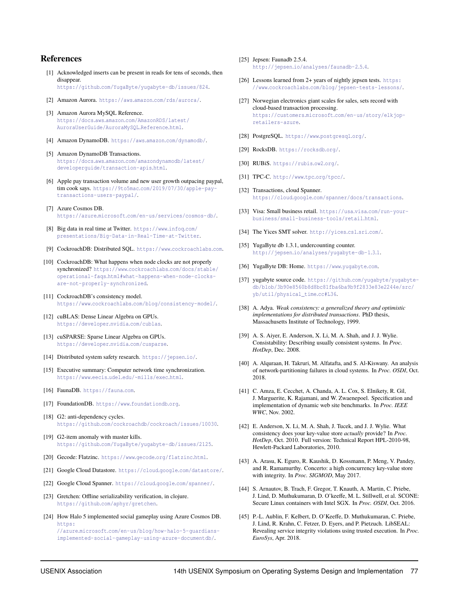### **References**

- <span id="page-15-10"></span>[1] Acknowledged inserts can be present in reads for tens of seconds, then disappear. https://github.[com/YugaByte/yugabyte-db/issues/824](https://github.com/YugaByte/yugabyte-db/issues/824).
- <span id="page-15-0"></span>[2] Amazon Aurora. https://aws.amazon.[com/rds/aurora/]( https://aws.amazon.com/rds/aurora/).
- <span id="page-15-18"></span>[3] Amazon Aurora MySQL Reference. https://docs.aws.amazon.[com/AmazonRDS/latest/](https://docs.aws.amazon.com/AmazonRDS/latest/AuroraUserGuide/AuroraMySQL.Reference.html) [AuroraUserGuide/AuroraMySQL](https://docs.aws.amazon.com/AmazonRDS/latest/AuroraUserGuide/AuroraMySQL.Reference.html).Reference.html.
- <span id="page-15-1"></span>[4] Amazon DynamoDB. https://aws.amazon.[com/dynamodb/]( https://aws.amazon.com/dynamodb/).
- <span id="page-15-19"></span>[5] Amazon DynamoDB Transactions. https://docs.aws.amazon.[com/amazondynamodb/latest/](https://docs.aws.amazon.com/amazondynamodb/latest/developerguide/transaction-apis.html) [developerguide/transaction-apis](https://docs.aws.amazon.com/amazondynamodb/latest/developerguide/transaction-apis.html).html.
- <span id="page-15-21"></span>[6] Apple pay transaction volume and new user growth outpacing paypal, tim cook says. https://9to5mac.[com/2019/07/30/apple-pay](https://9to5mac.com/2019/07/30/apple-pay-transactions-users-paypal/)[transactions-users-paypal/](https://9to5mac.com/2019/07/30/apple-pay-transactions-users-paypal/).
- <span id="page-15-2"></span>[7] Azure Cosmos DB. https://azure.microsoft.[com/en-us/services/cosmos-db/](https://azure.microsoft.com/en-us/services/cosmos-db/).
- <span id="page-15-30"></span>[8] Big data in real time at Twitter. [https://www](https://www.infoq.com/presentations/Big-Data-in-Real-Time-at-Twitter).infoq.com/ [presentations/Big-Data-in-Real-Time-at-Twitter](https://www.infoq.com/presentations/Big-Data-in-Real-Time-at-Twitter).
- <span id="page-15-3"></span>[9] CockroachDB: Distributed SQL. https://www.[cockroachlabs](https://www.cockroachlabs.com).com.
- <span id="page-15-35"></span>[10] CockroachDB: What happens when node clocks are not properly synchronized? https://www.cockroachlabs.[com/docs/stable/](https://www.cockroachlabs.com/docs/stable/operational-faqs.html#what-happens-when-node-clocks-are-not-properly-synchronized) operational-faqs.[html#what-happens-when-node-clocks](https://www.cockroachlabs.com/docs/stable/operational-faqs.html#what-happens-when-node-clocks-are-not-properly-synchronized)[are-not-properly-synchronized](https://www.cockroachlabs.com/docs/stable/operational-faqs.html#what-happens-when-node-clocks-are-not-properly-synchronized).
- <span id="page-15-15"></span>[11] CockroachDB's consistency model. https://www.cockroachlabs.[com/blog/consistency-model/](https://www.cockroachlabs.com/blog/consistency-model/).
- <span id="page-15-27"></span>[12] cuBLAS: Dense Linear Algebra on GPUs. [https://developer](https://developer.nvidia.com/cublas).nvidia.com/cublas.
- <span id="page-15-28"></span>[13] cuSPARSE: Sparse Linear Algebra on GPUs. [https://developer](https://developer.nvidia.com/cusparse).nvidia.com/cusparse.
- <span id="page-15-39"></span>[14] Distributed system safety research. [https://jepsen](https://jepsen.io/).io/.
- <span id="page-15-26"></span>[15] Executive summary: Computer network time synchronization. https://www.eecis.udel.[edu/~mills/exec](https://www.eecis.udel.edu/~mills/exec.html).html.
- <span id="page-15-5"></span>[16] FaunaDB. [https://fauna](https://fauna.com).com.
- <span id="page-15-6"></span>[17] FoundationDB. https://www.[foundationdb](https://www.foundationdb.org).org.
- <span id="page-15-11"></span>[18] G2: anti-dependency cycles. https://github.[com/cockroachdb/cockroach/issues/10030](https://github.com/cockroachdb/cockroach/issues/10030).
- <span id="page-15-12"></span>[19] G2-item anomaly with master kills. https://github.[com/YugaByte/yugabyte-db/issues/2125](https://github.com/YugaByte/yugabyte-db/issues/2125).
- <span id="page-15-38"></span>[20] Gecode: Flatzinc. https://www.gecode.[org/flatzinc](https://www.gecode.org/flatzinc.html).html.
- <span id="page-15-7"></span>[21] Google Cloud Datastore. https://cloud.google.[com/datastore/](https://cloud.google.com/datastore/).
- <span id="page-15-8"></span>[22] Google Cloud Spanner. [https://cloud](https://cloud.google.com/spanner/).google.com/spanner/.
- <span id="page-15-37"></span>[23] Gretchen: Offline serializability verification, in clojure. https://github.[com/aphyr/gretchen](https://github.com/aphyr/gretchen).
- <span id="page-15-24"></span>[24] How Halo 5 implemented social gameplay using Azure Cosmos DB. [https:](https://azure.microsoft.com/en-us/blog/how-halo-5-guardians-implemented-social-gameplay-using-azure-documentdb/) //azure.microsoft.[com/en-us/blog/how-halo-5-guardians](https://azure.microsoft.com/en-us/blog/how-halo-5-guardians-implemented-social-gameplay-using-azure-documentdb/)[implemented-social-gameplay-using-azure-documentdb/](https://azure.microsoft.com/en-us/blog/how-halo-5-guardians-implemented-social-gameplay-using-azure-documentdb/).
- <span id="page-15-13"></span>[25] Jepsen: Faunadb 2.5.4. http://jepsen.[io/analyses/faunadb-2](http://jepsen.io/analyses/faunadb-2.5.4).5.4.
- <span id="page-15-14"></span>[26] Lessons learned from 2+ years of nightly jepsen tests. [https:](https://www.cockroachlabs.com/blog/jepsen-tests-lessons/) //www.cockroachlabs.[com/blog/jepsen-tests-lessons/](https://www.cockroachlabs.com/blog/jepsen-tests-lessons/).
- <span id="page-15-23"></span>[27] Norwegian electronics giant scales for sales, sets record with cloud-based transaction processing. https://customers.microsoft.[com/en-us/story/elkjop](https://customers.microsoft.com/en-us/story/elkjop-retailers-azure)[retailers-azure](https://customers.microsoft.com/en-us/story/elkjop-retailers-azure).
- <span id="page-15-34"></span>[28] PostgreSQL. [https://www](https://www.postgresql.org/).postgresql.org/.
- <span id="page-15-33"></span>[29] RocksDB. [https://rocksdb](https://rocksdb.org/).org/.
- <span id="page-15-31"></span>[30] RUBiS. [https://rubis](https://rubis.ow2.org/).ow2.org/.
- <span id="page-15-29"></span>[31] TPC-C. [http://www](http://www.tpc.org/tpcc/).tpc.org/tpcc/.
- <span id="page-15-17"></span>[32] Transactions, cloud Spanner. https://cloud.google.[com/spanner/docs/transactions](https://cloud.google.com/spanner/docs/transactions).
- <span id="page-15-22"></span>[33] Visa: Small business retail. https://usa.visa.[com/run-your](https://usa.visa.com/run-your-business/small-business-tools/retail.html)[business/small-business-tools/retail](https://usa.visa.com/run-your-business/small-business-tools/retail.html).html.
- <span id="page-15-20"></span>[34] The Yices SMT solver. [http://yices](http://yices.csl.sri.com/).csl.sri.com/.
- <span id="page-15-16"></span>[35] YugaByte db 1.3.1, undercounting counter. http://jepsen.[io/analyses/yugabyte-db-1](http://jepsen.io/analyses/yugabyte-db-1.3.1).3.1.
- <span id="page-15-4"></span>[36] YugaByte DB: Home. [https://www](https://www.yugabyte.com).yugabyte.com.
- <span id="page-15-36"></span>[37] yugabyte source code. https://github.[com/yugabyte/yugabyte](https://github.com/yugabyte/yugabyte-db/blob/3b90e8560b8d8bc81fba6ba9b9f2833e83e2244e/src/yb/util/physical_time.cc#L36)[db/blob/3b90e8560b8d8bc81fba6ba9b9f2833e83e2244e/src/](https://github.com/yugabyte/yugabyte-db/blob/3b90e8560b8d8bc81fba6ba9b9f2833e83e2244e/src/yb/util/physical_time.cc#L36) [yb/util/physical\\_time](https://github.com/yugabyte/yugabyte-db/blob/3b90e8560b8d8bc81fba6ba9b9f2833e83e2244e/src/yb/util/physical_time.cc#L36).cc#L36.
- <span id="page-15-25"></span>[38] A. Adya. *Weak consistency: a generalized theory and optimistic implementations for distributed transactions*. PhD thesis, Massachusetts Institute of Technology, 1999.
- <span id="page-15-41"></span>[39] A. S. Aiyer, E. Anderson, X. Li, M. A. Shah, and J. J. Wylie. Consistability: Describing usually consistent systems. In *Proc. HotDep*, Dec. 2008.
- <span id="page-15-9"></span>[40] A. Alquraan, H. Takruri, M. Alfatafta, and S. Al-Kiswany. An analysis of network-partitioning failures in cloud systems. In *Proc. OSDI*, Oct. 2018.
- <span id="page-15-32"></span>[41] C. Amza, E. Cecchet, A. Chanda, A. L. Cox, S. Elnikety, R. Gil, J. Marguerite, K. Rajamani, and W. Zwaenepoel. Specification and implementation of dynamic web site benchmarks. In *Proc. IEEE WWC*, Nov. 2002.
- <span id="page-15-42"></span>[42] E. Anderson, X. Li, M. A. Shah, J. Tucek, and J. J. Wylie. What consistency does your key-value store *actually* provide? In *Proc. HotDep*, Oct. 2010. Full version: Technical Report HPL-2010-98, Hewlett-Packard Laboratories, 2010.
- <span id="page-15-40"></span>[43] A. Arasu, K. Eguro, R. Kaushik, D. Kossmann, P. Meng, V. Pandey, and R. Ramamurthy. Concerto: a high concurrency key-value store with integrity. In *Proc. SIGMOD*, May 2017.
- <span id="page-15-43"></span>[44] S. Arnautov, B. Trach, F. Gregor, T. Knauth, A. Martin, C. Priebe, J. Lind, D. Muthukumaran, D. O'keeffe, M. L. Stillwell, et al. SCONE: Secure Linux containers with Intel SGX. In *Proc. OSDI*, Oct. 2016.
- <span id="page-15-44"></span>[45] P.-L. Aublin, F. Kelbert, D. O'Keeffe, D. Muthukumaran, C. Priebe, J. Lind, R. Krahn, C. Fetzer, D. Eyers, and P. Pietzuch. LibSEAL: Revealing service integrity violations using trusted execution. In *Proc. EuroSys*, Apr. 2018.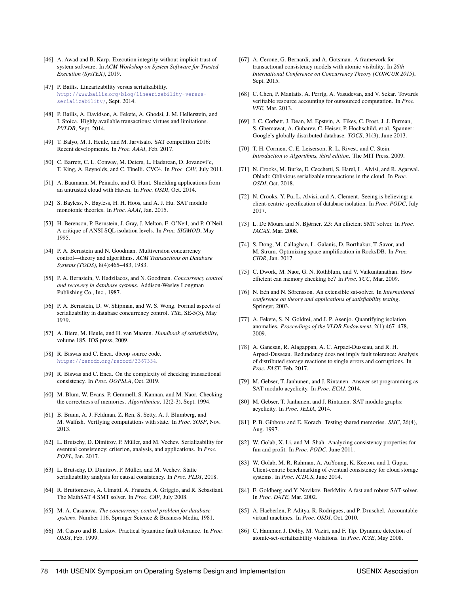- <span id="page-16-19"></span>[46] A. Awad and B. Karp. Execution integrity without implicit trust of system software. In *ACM Workshop on System Software for Trusted Execution (SysTEX)*, 2019.
- <span id="page-16-26"></span>[47] P. Bailis. Linearizability versus serializability. http://www.bailis.[org/blog/linearizability-versus](http://www.bailis.org/blog/linearizability-versus-serializability/)[serializability/](http://www.bailis.org/blog/linearizability-versus-serializability/), Sept. 2014.
- <span id="page-16-2"></span>[48] P. Bailis, A. Davidson, A. Fekete, A. Ghodsi, J. M. Hellerstein, and I. Stoica. Highly available transactions: virtues and limitations. *PVLDB*, Sept. 2014.
- <span id="page-16-10"></span>[49] T. Balyo, M. J. Heule, and M. Jarvisalo. SAT competition 2016: Recent developments. In *Proc. AAAI*, Feb. 2017.
- <span id="page-16-15"></span>[50] C. Barrett, C. L. Conway, M. Deters, L. Hadarean, D. Jovanovi'c, T. King, A. Reynolds, and C. Tinelli. CVC4. In *Proc. CAV*, July 2011.
- <span id="page-16-34"></span>[51] A. Baumann, M. Peinado, and G. Hunt. Shielding applications from an untrusted cloud with Haven. In *Proc. OSDI*, Oct. 2014.
- <span id="page-16-18"></span>[52] S. Bayless, N. Bayless, H. H. Hoos, and A. J. Hu. SAT modulo monotonic theories. In *Proc. AAAI*, Jan. 2015.
- <span id="page-16-39"></span>[53] H. Berenson, P. Bernstein, J. Gray, J. Melton, E. O'Neil, and P. O'Neil. A critique of ANSI SQL isolation levels. In *Proc. SIGMOD*, May 1995.
- <span id="page-16-8"></span>[54] P. A. Bernstein and N. Goodman. Multiversion concurrency control—theory and algorithms. *ACM Transactions on Database Systems (TODS)*, 8(4):465–483, 1983.
- <span id="page-16-1"></span>[55] P. A. Bernstein, V. Hadzilacos, and N. Goodman. *Concurrency control and recovery in database systems*. Addison-Wesley Longman Publishing Co., Inc., 1987.
- <span id="page-16-7"></span>[56] P. A. Bernstein, D. W. Shipman, and W. S. Wong. Formal aspects of serializability in database concurrency control. *TSE*, SE-5(3), May 1979.
- <span id="page-16-11"></span>[57] A. Biere, M. Heule, and H. van Maaren. *Handbook of satisfiability*, volume 185. IOS press, 2009.
- <span id="page-16-23"></span>[58] R. Biswas and C. Enea. dbcop source code. https://zenodo.[org/record/3367334](https://zenodo.org/record/3367334).
- <span id="page-16-9"></span>[59] R. Biswas and C. Enea. On the complexity of checking transactional consistency. In *Proc. OOPSLA*, Oct. 2019.
- <span id="page-16-29"></span>[60] M. Blum, W. Evans, P. Gemmell, S. Kannan, and M. Naor. Checking the correctness of memories. *Algorithmica*, 12(2-3), Sept. 1994.
- <span id="page-16-36"></span>[61] B. Braun, A. J. Feldman, Z. Ren, S. Setty, A. J. Blumberg, and M. Walfish. Verifying computations with state. In *Proc. SOSP*, Nov. 2013.
- <span id="page-16-5"></span>[62] L. Brutschy, D. Dimitrov, P. Müller, and M. Vechev. Serializability for eventual consistency: criterion, analysis, and applications. In *Proc. POPL*, Jan. 2017.
- <span id="page-16-38"></span>[63] L. Brutschy, D. Dimitrov, P. Müller, and M. Vechev. Static serializability analysis for causal consistency. In *Proc. PLDI*, 2018.
- <span id="page-16-12"></span>[64] R. Bruttomesso, A. Cimatti, A. Franzén, A. Griggio, and R. Sebastiani. The MathSAT 4 SMT solver. In *Proc. CAV*, July 2008.
- <span id="page-16-20"></span>[65] M. A. Casanova. *The concurrency control problem for database systems*. Number 116. Springer Science & Business Media, 1981.
- <span id="page-16-32"></span>[66] M. Castro and B. Liskov. Practical byzantine fault tolerance. In *Proc. OSDI*, Feb. 1999.
- <span id="page-16-25"></span>[67] A. Cerone, G. Bernardi, and A. Gotsman. A framework for transactional consistency models with atomic visibility. In *26th International Conference on Concurrency Theory (CONCUR 2015)*, Sept. 2015.
- <span id="page-16-33"></span>[68] C. Chen, P. Maniatis, A. Perrig, A. Vasudevan, and V. Sekar. Towards verifiable resource accounting for outsourced computation. In *Proc. VEE*, Mar. 2013.
- <span id="page-16-0"></span>[69] J. C. Corbett, J. Dean, M. Epstein, A. Fikes, C. Frost, J. J. Furman, S. Ghemawat, A. Gubarev, C. Heiser, P. Hochschild, et al. Spanner: Google's globally distributed database. *TOCS*, 31(3), June 2013.
- <span id="page-16-21"></span>[70] T. H. Cormen, C. E. Leiserson, R. L. Rivest, and C. Stein. *Introduction to Algorithms, third edition*. The MIT Press, 2009.
- <span id="page-16-37"></span>[71] N. Crooks, M. Burke, E. Cecchetti, S. Harel, L. Alvisi, and R. Agarwal. Obladi: Oblivious serializable transactions in the cloud. In *Proc. OSDI*, Oct. 2018.
- <span id="page-16-40"></span>[72] N. Crooks, Y. Pu, L. Alvisi, and A. Clement. Seeing is believing: a client-centric specification of database isolation. In *Proc. PODC*, July 2017.
- <span id="page-16-13"></span>[73] L. De Moura and N. Bjørner. Z3: An efficient SMT solver. In *Proc. TACAS*, Mar. 2008.
- <span id="page-16-22"></span>[74] S. Dong, M. Callaghan, L. Galanis, D. Borthakur, T. Savor, and M. Strum. Optimizing space amplification in RocksDB. In *Proc. CIDR*, Jan. 2017.
- <span id="page-16-30"></span>[75] C. Dwork, M. Naor, G. N. Rothblum, and V. Vaikuntanathan. How efficient can memory checking be? In *Proc. TCC*, Mar. 2009.
- <span id="page-16-24"></span>[76] N. Eén and N. Sörensson. An extensible sat-solver. In *International conference on theory and applications of satisfiability testing*. Springer, 2003.
- <span id="page-16-3"></span>[77] A. Fekete, S. N. Goldrei, and J. P. Asenjo. Quantifying isolation anomalies. *Proceedings of the VLDB Endowment*, 2(1):467–478, 2009.
- <span id="page-16-4"></span>[78] A. Ganesan, R. Alagappan, A. C. Arpaci-Dusseau, and R. H. Arpaci-Dusseau. Redundancy does not imply fault tolerance: Analysis of distributed storage reactions to single errors and corruptions. In *Proc. FAST*, Feb. 2017.
- <span id="page-16-16"></span>[79] M. Gebser, T. Janhunen, and J. Rintanen. Answer set programming as SAT modulo acyclicity. In *Proc. ECAI*, 2014.
- <span id="page-16-17"></span>[80] M. Gebser, T. Janhunen, and J. Rintanen. SAT modulo graphs: acyclicity. In *Proc. JELIA*, 2014.
- <span id="page-16-28"></span>[81] P. B. Gibbons and E. Korach. Testing shared memories. *SIJC*, 26(4), Aug. 1997.
- <span id="page-16-27"></span>[82] W. Golab, X. Li, and M. Shah. Analyzing consistency properties for fun and profit. In *Proc. PODC*, June 2011.
- <span id="page-16-31"></span>[83] W. Golab, M. R. Rahman, A. AuYoung, K. Keeton, and I. Gupta. Client-centric benchmarking of eventual consistency for cloud storage systems. In *Proc. ICDCS*, June 2014.
- <span id="page-16-14"></span>[84] E. Goldberg and Y. Novikov. BerkMin: A fast and robust SAT-solver. In *Proc. DATE*, Mar. 2002.
- <span id="page-16-35"></span>[85] A. Haeberlen, P. Aditya, R. Rodrigues, and P. Druschel. Accountable virtual machines. In *Proc. OSDI*, Oct. 2010.
- <span id="page-16-6"></span>[86] C. Hammer, J. Dolby, M. Vaziri, and F. Tip. Dynamic detection of atomic-set-serializability violations. In *Proc. ICSE*, May 2008.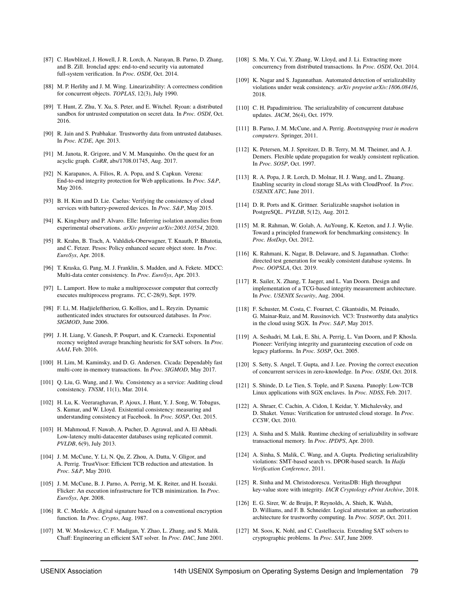- <span id="page-17-27"></span>[87] C. Hawblitzel, J. Howell, J. R. Lorch, A. Narayan, B. Parno, D. Zhang, and B. Zill. Ironclad apps: end-to-end security via automated full-system verification. In *Proc. OSDI*, Oct. 2014.
- <span id="page-17-14"></span>[88] M. P. Herlihy and J. M. Wing. Linearizability: A correctness condition for concurrent objects. *TOPLAS*, 12(3), July 1990.
- <span id="page-17-34"></span>[89] T. Hunt, Z. Zhu, Y. Xu, S. Peter, and E. Witchel. Ryoan: a distributed sandbox for untrusted computation on secret data. In *Proc. OSDI*, Oct. 2016.
- <span id="page-17-24"></span>[90] R. Jain and S. Prabhakar. Trustworthy data from untrusted databases. In *Proc. ICDE*, Apr. 2013.
- <span id="page-17-9"></span>[91] M. Janota, R. Grigore, and V. M. Manquinho. On the quest for an acyclic graph. *CoRR*, abs/1708.01745, Aug. 2017.
- <span id="page-17-38"></span>[92] N. Karapanos, A. Filios, R. A. Popa, and S. Capkun. Verena: End-to-end integrity protection for Web applications. In *Proc. S&P*, May 2016.
- <span id="page-17-22"></span>[93] B. H. Kim and D. Lie. Caelus: Verifying the consistency of cloud services with battery-powered devices. In *Proc. S&P*, May 2015.
- <span id="page-17-13"></span>[94] K. Kingsbury and P. Alvaro. Elle: Inferring isolation anomalies from experimental observations. *arXiv preprint arXiv:2003.10554*, 2020.
- <span id="page-17-35"></span>[95] R. Krahn, B. Trach, A. Vahldiek-Oberwagner, T. Knauth, P. Bhatotia, and C. Fetzer. Pesos: Policy enhanced secure object store. In *Proc. EuroSys*, Apr. 2018.
- <span id="page-17-1"></span>[96] T. Kraska, G. Pang, M. J. Franklin, S. Madden, and A. Fekete. MDCC: Multi-data center consistency. In *Proc. EuroSys*, Apr. 2013.
- <span id="page-17-15"></span>[97] L. Lamport. How to make a multiprocessor computer that correctly executes multiprocess programs. *TC*, C-28(9), Sept. 1979.
- <span id="page-17-18"></span>[98] F. Li, M. Hadjieleftheriou, G. Kollios, and L. Reyzin. Dynamic authenticated index structures for outsourced databases. In *Proc. SIGMOD*, June 2006.
- <span id="page-17-6"></span>[99] J. H. Liang, V. Ganesh, P. Poupart, and K. Czarnecki. Exponential recency weighted average branching heuristic for SAT solvers. In *Proc. AAAI*, Feb. 2016.
- <span id="page-17-10"></span>[100] H. Lim, M. Kaminsky, and D. G. Andersen. Cicada: Dependably fast multi-core in-memory transactions. In *Proc. SIGMOD*, May 2017.
- <span id="page-17-19"></span>[101] O. Liu, G. Wang, and J. Wu. Consistency as a service: Auditing cloud consistency. *TNSM*, 11(1), Mar. 2014.
- <span id="page-17-20"></span>[102] H. Lu, K. Veeraraghavan, P. Ajoux, J. Hunt, Y. J. Song, W. Tobagus, S. Kumar, and W. Lloyd. Existential consistency: measuring and understanding consistency at Facebook. In *Proc. SOSP*, Oct. 2015.
- <span id="page-17-2"></span>[103] H. Mahmoud, F. Nawab, A. Pucher, D. Agrawal, and A. El Abbadi. Low-latency multi-datacenter databases using replicated commit. *PVLDB*, 6(9), July 2013.
- <span id="page-17-28"></span>[104] J. M. McCune, Y. Li, N. Qu, Z. Zhou, A. Datta, V. Gligor, and A. Perrig. TrustVisor: Efficient TCB reduction and attestation. In *Proc. S&P*, May 2010.
- <span id="page-17-29"></span>[105] J. M. McCune, B. J. Parno, A. Perrig, M. K. Reiter, and H. Isozaki. Flicker: An execution infrastructure for TCB minimization. In *Proc. EuroSys*, Apr. 2008.
- <span id="page-17-17"></span>[106] R. C. Merkle. A digital signature based on a conventional encryption function. In *Proc. Crypto*, Aug. 1987.
- <span id="page-17-7"></span>[107] M. W. Moskewicz, C. F. Madigan, Y. Zhao, L. Zhang, and S. Malik. Chaff: Engineering an efficient SAT solver. In *Proc. DAC*, June 2001.
- <span id="page-17-11"></span>[108] S. Mu, Y. Cui, Y. Zhang, W. Lloyd, and J. Li. Extracting more concurrency from distributed transactions. In *Proc. OSDI*, Oct. 2014.
- <span id="page-17-3"></span>[109] K. Nagar and S. Jagannathan. Automated detection of serializability violations under weak consistency. *arXiv preprint arXiv:1806.08416*, 2018.
- <span id="page-17-0"></span>[110] C. H. Papadimitriou. The serializability of concurrent database updates. *JACM*, 26(4), Oct. 1979.
- <span id="page-17-30"></span>[111] B. Parno, J. M. McCune, and A. Perrig. *Bootstrapping trust in modern computers*. Springer, 2011.
- <span id="page-17-16"></span>[112] K. Petersen, M. J. Spreitzer, D. B. Terry, M. M. Theimer, and A. J. Demers. Flexible update propagation for weakly consistent replication. In *Proc. SOSP*, Oct. 1997.
- <span id="page-17-25"></span>[113] R. A. Popa, J. R. Lorch, D. Molnar, H. J. Wang, and L. Zhuang. Enabling security in cloud storage SLAs with CloudProof. In *Proc. USENIX ATC*, June 2011.
- <span id="page-17-12"></span>[114] D. R. Ports and K. Grittner. Serializable snapshot isolation in PostgreSQL. *PVLDB*, 5(12), Aug. 2012.
- <span id="page-17-21"></span>[115] M. R. Rahman, W. Golab, A. AuYoung, K. Keeton, and J. J. Wylie. Toward a principled framework for benchmarking consistency. In *Proc. HotDep*, Oct. 2012.
- <span id="page-17-40"></span>[116] K. Rahmani, K. Nagar, B. Delaware, and S. Jagannathan. Clotho: directed test generation for weakly consistent database systems. In *Proc. OOPSLA*, Oct. 2019.
- <span id="page-17-31"></span>[117] R. Sailer, X. Zhang, T. Jaeger, and L. Van Doorn. Design and implementation of a TCG-based integrity measurement architecture. In *Proc. USENIX Security*, Aug. 2004.
- <span id="page-17-36"></span>[118] F. Schuster, M. Costa, C. Fournet, C. Gkantsidis, M. Peinado, G. Mainar-Ruiz, and M. Russinovich. VC3: Trustworthy data analytics in the cloud using SGX. In *Proc. S&P*, May 2015.
- <span id="page-17-32"></span>[119] A. Seshadri, M. Luk, E. Shi, A. Perrig, L. Van Doorn, and P. Khosla. Pioneer: Verifying integrity and guaranteeing execution of code on legacy platforms. In *Proc. SOSP*, Oct. 2005.
- <span id="page-17-39"></span>[120] S. Setty, S. Angel, T. Gupta, and J. Lee. Proving the correct execution of concurrent services in zero-knowledge. In *Proc. OSDI*, Oct. 2018.
- <span id="page-17-37"></span>[121] S. Shinde, D. Le Tien, S. Tople, and P. Saxena. Panoply: Low-TCB Linux applications with SGX enclaves. In *Proc. NDSS*, Feb. 2017.
- <span id="page-17-23"></span>[122] A. Shraer, C. Cachin, A. Cidon, I. Keidar, Y. Michalevsky, and D. Shaket. Venus: Verification for untrusted cloud storage. In *Proc. CCSW*, Oct. 2010.
- <span id="page-17-4"></span>[123] A. Sinha and S. Malik. Runtime checking of serializability in software transactional memory. In *Proc. IPDPS*, Apr. 2010.
- <span id="page-17-5"></span>[124] A. Sinha, S. Malik, C. Wang, and A. Gupta. Predicting serializability violations: SMT-based search vs. DPOR-based search. In *Haifa Verification Conference*, 2011.
- <span id="page-17-26"></span>[125] R. Sinha and M. Christodorescu. VeritasDB: High throughput key-value store with integrity. *IACR Cryptology ePrint Archive*, 2018.
- <span id="page-17-33"></span>[126] E. G. Sirer, W. de Bruijn, P. Reynolds, A. Shieh, K. Walsh, D. Williams, and F. B. Schneider. Logical attestation: an authorization architecture for trustworthy computing. In *Proc. SOSP*, Oct. 2011.
- <span id="page-17-8"></span>[127] M. Soos, K. Nohl, and C. Castelluccia. Extending SAT solvers to cryptographic problems. In *Proc. SAT*, June 2009.